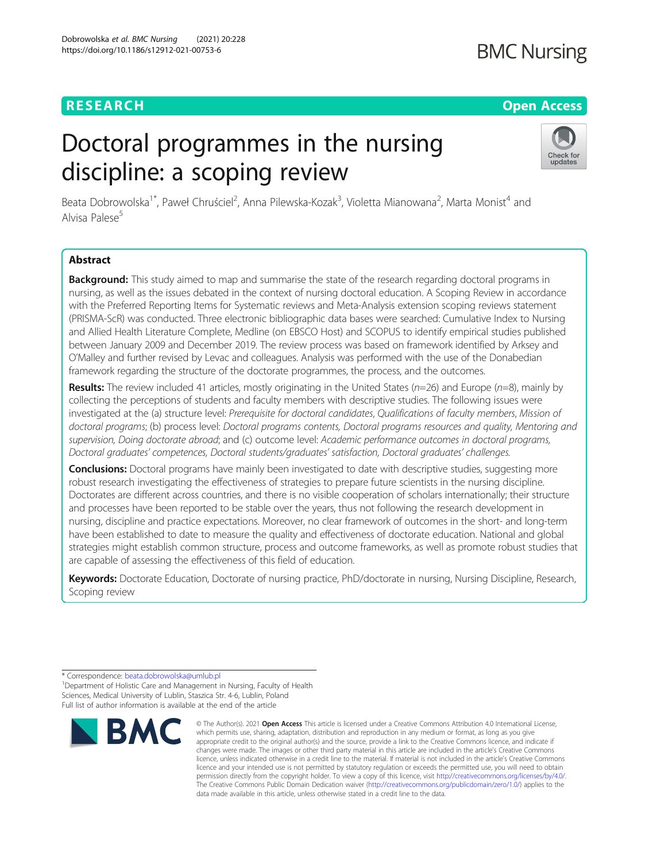# **RESEARCH CHEAR CHEAR CHEAR CHEAR CHEAR CHEAR CHEAR CHEAR CHEAR CHEAR CHEAR CHEAR CHEAR CHEAR CHEAR CHEAR CHEAR**

# **BMC Nursing**

# Doctoral programmes in the nursing discipline: a scoping review



Beata Dobrowolska<sup>1\*</sup>, Paweł Chruściel<sup>2</sup>, Anna Pilewska-Kozak<sup>3</sup>, Violetta Mianowana<sup>2</sup>, Marta Monist<sup>4</sup> and Alvisa Palese<sup>5</sup>

### Abstract

Background: This study aimed to map and summarise the state of the research regarding doctoral programs in nursing, as well as the issues debated in the context of nursing doctoral education. A Scoping Review in accordance with the Preferred Reporting Items for Systematic reviews and Meta-Analysis extension scoping reviews statement (PRISMA-ScR) was conducted. Three electronic bibliographic data bases were searched: Cumulative Index to Nursing and Allied Health Literature Complete, Medline (on EBSCO Host) and SCOPUS to identify empirical studies published between January 2009 and December 2019. The review process was based on framework identified by Arksey and O'Malley and further revised by Levac and colleagues. Analysis was performed with the use of the Donabedian framework regarding the structure of the doctorate programmes, the process, and the outcomes.

Results: The review included 41 articles, mostly originating in the United States ( $n=26$ ) and Europe ( $n=8$ ), mainly by collecting the perceptions of students and faculty members with descriptive studies. The following issues were investigated at the (a) structure level: Prerequisite for doctoral candidates, Qualifications of faculty members, Mission of doctoral programs; (b) process level: Doctoral programs contents, Doctoral programs resources and quality, Mentoring and supervision, Doing doctorate abroad; and (c) outcome level: Academic performance outcomes in doctoral programs, Doctoral graduates' competences, Doctoral students/graduates' satisfaction, Doctoral graduates' challenges.

Conclusions: Doctoral programs have mainly been investigated to date with descriptive studies, suggesting more robust research investigating the effectiveness of strategies to prepare future scientists in the nursing discipline. Doctorates are different across countries, and there is no visible cooperation of scholars internationally; their structure and processes have been reported to be stable over the years, thus not following the research development in nursing, discipline and practice expectations. Moreover, no clear framework of outcomes in the short- and long-term have been established to date to measure the quality and effectiveness of doctorate education. National and global strategies might establish common structure, process and outcome frameworks, as well as promote robust studies that are capable of assessing the effectiveness of this field of education.

Keywords: Doctorate Education, Doctorate of nursing practice, PhD/doctorate in nursing, Nursing Discipline, Research, Scoping review

\* Correspondence: [beata.dobrowolska@umlub.pl](mailto:beata.dobrowolska@umlub.pl) <sup>1</sup>

<sup>1</sup> Department of Holistic Care and Management in Nursing, Faculty of Health Sciences, Medical University of Lublin, Staszica Str. 4-6, Lublin, Poland Full list of author information is available at the end of the article



<sup>©</sup> The Author(s), 2021 **Open Access** This article is licensed under a Creative Commons Attribution 4.0 International License, which permits use, sharing, adaptation, distribution and reproduction in any medium or format, as long as you give appropriate credit to the original author(s) and the source, provide a link to the Creative Commons licence, and indicate if changes were made. The images or other third party material in this article are included in the article's Creative Commons licence, unless indicated otherwise in a credit line to the material. If material is not included in the article's Creative Commons licence and your intended use is not permitted by statutory regulation or exceeds the permitted use, you will need to obtain permission directly from the copyright holder. To view a copy of this licence, visit [http://creativecommons.org/licenses/by/4.0/.](http://creativecommons.org/licenses/by/4.0/) The Creative Commons Public Domain Dedication waiver [\(http://creativecommons.org/publicdomain/zero/1.0/](http://creativecommons.org/publicdomain/zero/1.0/)) applies to the data made available in this article, unless otherwise stated in a credit line to the data.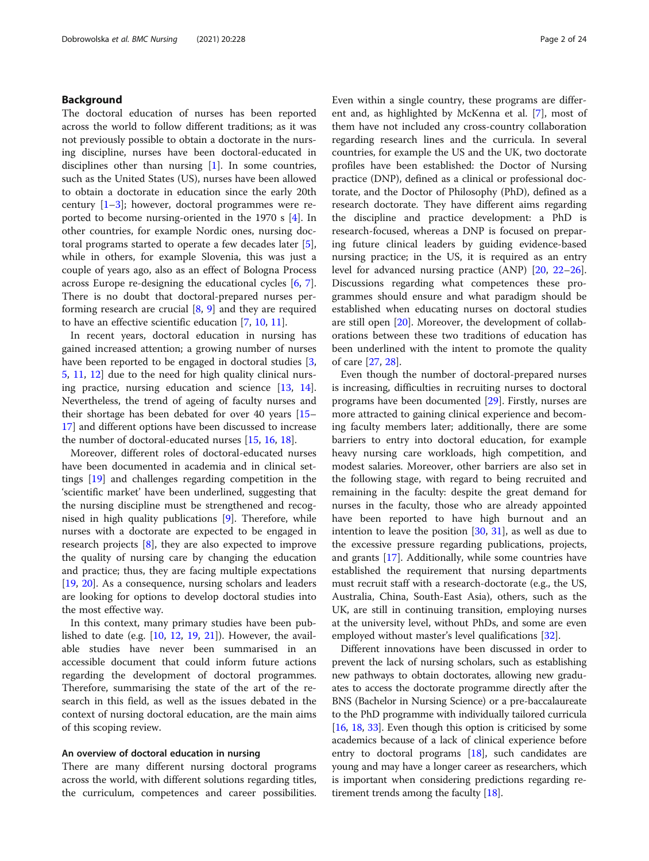#### Background

The doctoral education of nurses has been reported across the world to follow different traditions; as it was not previously possible to obtain a doctorate in the nursing discipline, nurses have been doctoral-educated in disciplines other than nursing [\[1](#page-22-0)]. In some countries, such as the United States (US), nurses have been allowed to obtain a doctorate in education since the early 20th century  $[1-3]$  $[1-3]$  $[1-3]$ ; however, doctoral programmes were reported to become nursing-oriented in the 1970 s [\[4\]](#page-22-0). In other countries, for example Nordic ones, nursing doctoral programs started to operate a few decades later [\[5](#page-22-0)], while in others, for example Slovenia, this was just a couple of years ago, also as an effect of Bologna Process across Europe re-designing the educational cycles [[6,](#page-22-0) [7](#page-22-0)]. There is no doubt that doctoral-prepared nurses performing research are crucial [[8](#page-22-0), [9\]](#page-22-0) and they are required to have an effective scientific education [[7,](#page-22-0) [10,](#page-22-0) [11\]](#page-22-0).

In recent years, doctoral education in nursing has gained increased attention; a growing number of nurses have been reported to be engaged in doctoral studies [\[3](#page-22-0), [5,](#page-22-0) [11](#page-22-0), [12\]](#page-22-0) due to the need for high quality clinical nursing practice, nursing education and science [[13](#page-22-0), [14](#page-22-0)]. Nevertheless, the trend of ageing of faculty nurses and their shortage has been debated for over 40 years [[15](#page-22-0)– [17\]](#page-22-0) and different options have been discussed to increase the number of doctoral-educated nurses [[15](#page-22-0), [16](#page-22-0), [18](#page-22-0)].

Moreover, different roles of doctoral-educated nurses have been documented in academia and in clinical settings [\[19\]](#page-22-0) and challenges regarding competition in the 'scientific market' have been underlined, suggesting that the nursing discipline must be strengthened and recognised in high quality publications [\[9\]](#page-22-0). Therefore, while nurses with a doctorate are expected to be engaged in research projects [[8\]](#page-22-0), they are also expected to improve the quality of nursing care by changing the education and practice; thus, they are facing multiple expectations [[19,](#page-22-0) [20\]](#page-22-0). As a consequence, nursing scholars and leaders are looking for options to develop doctoral studies into the most effective way.

In this context, many primary studies have been published to date (e.g.  $[10, 12, 19, 21]$  $[10, 12, 19, 21]$  $[10, 12, 19, 21]$  $[10, 12, 19, 21]$  $[10, 12, 19, 21]$  $[10, 12, 19, 21]$  $[10, 12, 19, 21]$  $[10, 12, 19, 21]$  $[10, 12, 19, 21]$ ). However, the available studies have never been summarised in an accessible document that could inform future actions regarding the development of doctoral programmes. Therefore, summarising the state of the art of the research in this field, as well as the issues debated in the context of nursing doctoral education, are the main aims of this scoping review.

#### An overview of doctoral education in nursing

There are many different nursing doctoral programs across the world, with different solutions regarding titles, the curriculum, competences and career possibilities.

Even within a single country, these programs are different and, as highlighted by McKenna et al. [[7\]](#page-22-0), most of them have not included any cross-country collaboration regarding research lines and the curricula. In several countries, for example the US and the UK, two doctorate profiles have been established: the Doctor of Nursing practice (DNP), defined as a clinical or professional doctorate, and the Doctor of Philosophy (PhD), defined as a research doctorate. They have different aims regarding the discipline and practice development: a PhD is research-focused, whereas a DNP is focused on preparing future clinical leaders by guiding evidence-based nursing practice; in the US, it is required as an entry level for advanced nursing practice (ANP) [\[20](#page-22-0), [22](#page-22-0)–[26](#page-22-0)]. Discussions regarding what competences these programmes should ensure and what paradigm should be established when educating nurses on doctoral studies are still open [[20](#page-22-0)]. Moreover, the development of collaborations between these two traditions of education has been underlined with the intent to promote the quality of care [[27](#page-22-0), [28](#page-22-0)].

Even though the number of doctoral-prepared nurses is increasing, difficulties in recruiting nurses to doctoral programs have been documented [[29\]](#page-22-0). Firstly, nurses are more attracted to gaining clinical experience and becoming faculty members later; additionally, there are some barriers to entry into doctoral education, for example heavy nursing care workloads, high competition, and modest salaries. Moreover, other barriers are also set in the following stage, with regard to being recruited and remaining in the faculty: despite the great demand for nurses in the faculty, those who are already appointed have been reported to have high burnout and an intention to leave the position [[30,](#page-22-0) [31\]](#page-22-0), as well as due to the excessive pressure regarding publications, projects, and grants [[17\]](#page-22-0). Additionally, while some countries have established the requirement that nursing departments must recruit staff with a research-doctorate (e.g., the US, Australia, China, South-East Asia), others, such as the UK, are still in continuing transition, employing nurses at the university level, without PhDs, and some are even employed without master's level qualifications [[32](#page-22-0)].

Different innovations have been discussed in order to prevent the lack of nursing scholars, such as establishing new pathways to obtain doctorates, allowing new graduates to access the doctorate programme directly after the BNS (Bachelor in Nursing Science) or a pre-baccalaureate to the PhD programme with individually tailored curricula [[16](#page-22-0), [18](#page-22-0), [33](#page-22-0)]. Even though this option is criticised by some academics because of a lack of clinical experience before entry to doctoral programs [\[18\]](#page-22-0), such candidates are young and may have a longer career as researchers, which is important when considering predictions regarding retirement trends among the faculty [[18](#page-22-0)].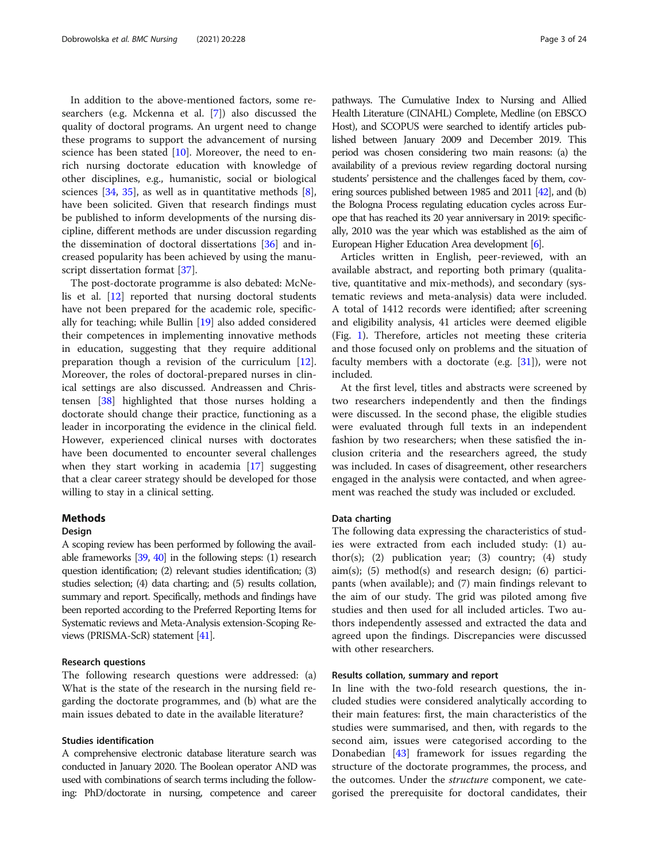In addition to the above-mentioned factors, some researchers (e.g. Mckenna et al. [[7\]](#page-22-0)) also discussed the quality of doctoral programs. An urgent need to change these programs to support the advancement of nursing science has been stated [[10\]](#page-22-0). Moreover, the need to enrich nursing doctorate education with knowledge of other disciplines, e.g., humanistic, social or biological sciences  $[34, 35]$  $[34, 35]$  $[34, 35]$  $[34, 35]$  $[34, 35]$ , as well as in quantitative methods  $[8]$  $[8]$ , have been solicited. Given that research findings must be published to inform developments of the nursing discipline, different methods are under discussion regarding the dissemination of doctoral dissertations [[36\]](#page-22-0) and increased popularity has been achieved by using the manuscript dissertation format [\[37\]](#page-22-0).

The post-doctorate programme is also debated: McNelis et al. [\[12](#page-22-0)] reported that nursing doctoral students have not been prepared for the academic role, specifically for teaching; while Bullin [[19](#page-22-0)] also added considered their competences in implementing innovative methods in education, suggesting that they require additional preparation though a revision of the curriculum [\[12](#page-22-0)]. Moreover, the roles of doctoral-prepared nurses in clinical settings are also discussed. Andreassen and Christensen [[38\]](#page-23-0) highlighted that those nurses holding a doctorate should change their practice, functioning as a leader in incorporating the evidence in the clinical field. However, experienced clinical nurses with doctorates have been documented to encounter several challenges when they start working in academia [\[17](#page-22-0)] suggesting that a clear career strategy should be developed for those willing to stay in a clinical setting.

#### Methods

#### **Design**

A scoping review has been performed by following the available frameworks [\[39,](#page-23-0) [40](#page-23-0)] in the following steps: (1) research question identification; (2) relevant studies identification; (3) studies selection; (4) data charting; and (5) results collation, summary and report. Specifically, methods and findings have been reported according to the Preferred Reporting Items for Systematic reviews and Meta-Analysis extension-Scoping Reviews (PRISMA-ScR) statement [\[41](#page-23-0)].

#### Research questions

The following research questions were addressed: (a) What is the state of the research in the nursing field regarding the doctorate programmes, and (b) what are the main issues debated to date in the available literature?

#### Studies identification

A comprehensive electronic database literature search was conducted in January 2020. The Boolean operator AND was used with combinations of search terms including the following: PhD/doctorate in nursing, competence and career

pathways. The Cumulative Index to Nursing and Allied Health Literature (CINAHL) Complete, Medline (on EBSCO Host), and SCOPUS were searched to identify articles published between January 2009 and December 2019. This period was chosen considering two main reasons: (a) the availability of a previous review regarding doctoral nursing students' persistence and the challenges faced by them, cov-ering sources published between 1985 and 2011 [\[42](#page-23-0)], and (b) the Bologna Process regulating education cycles across Europe that has reached its 20 year anniversary in 2019: specifically, 2010 was the year which was established as the aim of European Higher Education Area development [\[6](#page-22-0)].

Articles written in English, peer-reviewed, with an available abstract, and reporting both primary (qualitative, quantitative and mix-methods), and secondary (systematic reviews and meta-analysis) data were included. A total of 1412 records were identified; after screening and eligibility analysis, 41 articles were deemed eligible (Fig. [1\)](#page-3-0). Therefore, articles not meeting these criteria and those focused only on problems and the situation of faculty members with a doctorate (e.g. [[31\]](#page-22-0)), were not included.

At the first level, titles and abstracts were screened by two researchers independently and then the findings were discussed. In the second phase, the eligible studies were evaluated through full texts in an independent fashion by two researchers; when these satisfied the inclusion criteria and the researchers agreed, the study was included. In cases of disagreement, other researchers engaged in the analysis were contacted, and when agreement was reached the study was included or excluded.

#### Data charting

The following data expressing the characteristics of studies were extracted from each included study: (1) author(s); (2) publication year; (3) country; (4) study aim(s); (5) method(s) and research design; (6) participants (when available); and (7) main findings relevant to the aim of our study. The grid was piloted among five studies and then used for all included articles. Two authors independently assessed and extracted the data and agreed upon the findings. Discrepancies were discussed with other researchers.

#### Results collation, summary and report

In line with the two-fold research questions, the included studies were considered analytically according to their main features: first, the main characteristics of the studies were summarised, and then, with regards to the second aim, issues were categorised according to the Donabedian [\[43](#page-23-0)] framework for issues regarding the structure of the doctorate programmes, the process, and the outcomes. Under the structure component, we categorised the prerequisite for doctoral candidates, their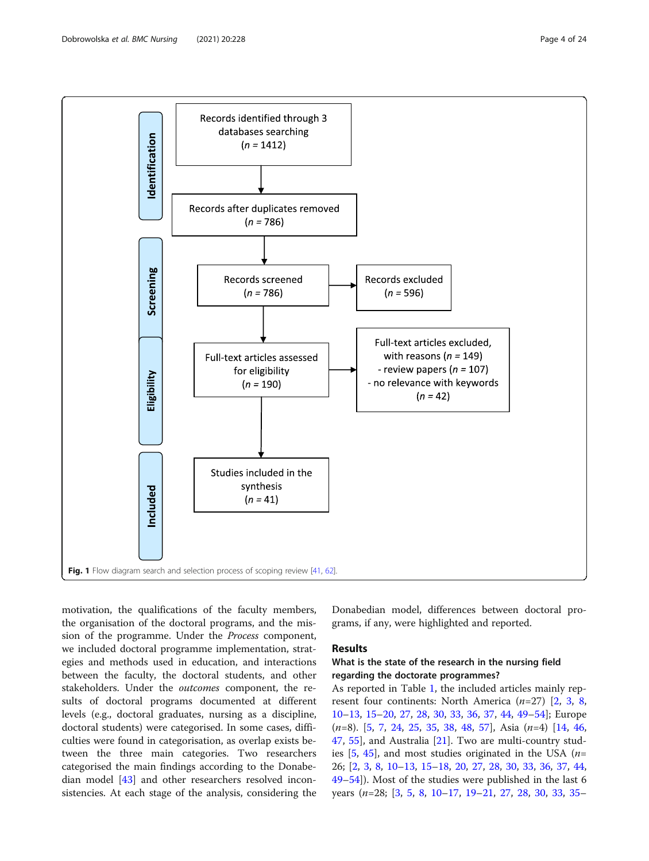<span id="page-3-0"></span>

motivation, the qualifications of the faculty members, the organisation of the doctoral programs, and the mission of the programme. Under the Process component, we included doctoral programme implementation, strategies and methods used in education, and interactions between the faculty, the doctoral students, and other stakeholders. Under the outcomes component, the results of doctoral programs documented at different levels (e.g., doctoral graduates, nursing as a discipline, doctoral students) were categorised. In some cases, difficulties were found in categorisation, as overlap exists between the three main categories. Two researchers categorised the main findings according to the Donabedian model [\[43\]](#page-23-0) and other researchers resolved inconsistencies. At each stage of the analysis, considering the Donabedian model, differences between doctoral programs, if any, were highlighted and reported.

#### Results

### What is the state of the research in the nursing field regarding the doctorate programmes?

As reported in Table [1](#page-5-0), the included articles mainly represent four continents: North America  $(n=27)$  [\[2](#page-22-0), [3,](#page-22-0) [8](#page-22-0), [10](#page-22-0)–[13](#page-22-0), [15](#page-22-0)–[20](#page-22-0), [27,](#page-22-0) [28](#page-22-0), [30,](#page-22-0) [33](#page-22-0), [36,](#page-22-0) [37,](#page-22-0) [44](#page-23-0), [49](#page-23-0)–[54\]](#page-23-0); Europe (n=8). [[5](#page-22-0), [7,](#page-22-0) [24,](#page-22-0) [25,](#page-22-0) [35](#page-22-0), [38](#page-23-0), [48](#page-23-0), [57](#page-23-0)], Asia (n=4) [\[14](#page-22-0), [46](#page-23-0), [47,](#page-23-0) [55\]](#page-23-0), and Australia [[21\]](#page-22-0). Two are multi-country studies  $[5, 45]$  $[5, 45]$  $[5, 45]$  $[5, 45]$  $[5, 45]$ , and most studies originated in the USA (*n*= 26; [\[2](#page-22-0), [3,](#page-22-0) [8,](#page-22-0) [10](#page-22-0)–[13,](#page-22-0) [15](#page-22-0)–[18](#page-22-0), [20,](#page-22-0) [27](#page-22-0), [28,](#page-22-0) [30](#page-22-0), [33,](#page-22-0) [36](#page-22-0), [37,](#page-22-0) [44](#page-23-0), [49](#page-23-0)–[54](#page-23-0)]). Most of the studies were published in the last 6 years (n=28; [[3,](#page-22-0) [5,](#page-22-0) [8,](#page-22-0) [10](#page-22-0)–[17](#page-22-0), [19](#page-22-0)–[21,](#page-22-0) [27,](#page-22-0) [28,](#page-22-0) [30,](#page-22-0) [33,](#page-22-0) [35](#page-22-0)–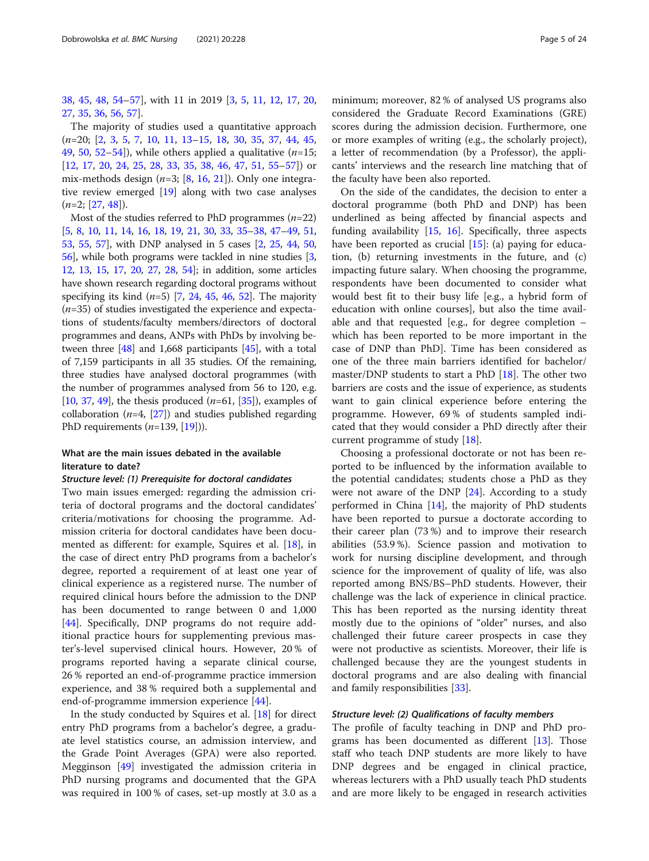[38,](#page-23-0) [45](#page-23-0), [48,](#page-23-0) [54](#page-23-0)–[57\]](#page-23-0), with 11 in 2019 [[3,](#page-22-0) [5](#page-22-0), [11,](#page-22-0) [12](#page-22-0), [17,](#page-22-0) [20](#page-22-0), [27,](#page-22-0) [35](#page-22-0), [36](#page-22-0), [56](#page-23-0), [57](#page-23-0)].

The majority of studies used a quantitative approach (n=20; [\[2](#page-22-0), [3](#page-22-0), [5](#page-22-0), [7](#page-22-0), [10](#page-22-0), [11](#page-22-0), [13](#page-22-0)–[15](#page-22-0), [18](#page-22-0), [30](#page-22-0), [35](#page-22-0), [37](#page-22-0), [44](#page-23-0), [45](#page-23-0), [49,](#page-23-0) [50,](#page-23-0) [52](#page-23-0)–[54\]](#page-23-0)), while others applied a qualitative  $(n=15;$ [[12,](#page-22-0) [17](#page-22-0), [20,](#page-22-0) [24](#page-22-0), [25,](#page-22-0) [28](#page-22-0), [33,](#page-22-0) [35](#page-22-0), [38,](#page-23-0) [46](#page-23-0), [47](#page-23-0), [51,](#page-23-0) [55](#page-23-0)–[57\]](#page-23-0)) or mix-methods design  $(n=3; [8, 16, 21])$  $(n=3; [8, 16, 21])$  $(n=3; [8, 16, 21])$  $(n=3; [8, 16, 21])$  $(n=3; [8, 16, 21])$  $(n=3; [8, 16, 21])$  $(n=3; [8, 16, 21])$ . Only one integrative review emerged [\[19](#page-22-0)] along with two case analyses  $(n=2; [27, 48]).$  $(n=2; [27, 48]).$  $(n=2; [27, 48]).$  $(n=2; [27, 48]).$  $(n=2; [27, 48]).$ 

Most of the studies referred to PhD programmes  $(n=22)$ [[5,](#page-22-0) [8](#page-22-0), [10](#page-22-0), [11](#page-22-0), [14,](#page-22-0) [16,](#page-22-0) [18](#page-22-0), [19](#page-22-0), [21](#page-22-0), [30,](#page-22-0) [33,](#page-22-0) [35](#page-22-0)–[38,](#page-23-0) [47](#page-23-0)–[49](#page-23-0), [51](#page-23-0), [53](#page-23-0), [55,](#page-23-0) [57](#page-23-0)], with DNP analysed in 5 cases [[2,](#page-22-0) [25](#page-22-0), [44,](#page-23-0) [50](#page-23-0), [56](#page-23-0)], while both programs were tackled in nine studies [[3](#page-22-0), [12](#page-22-0), [13](#page-22-0), [15,](#page-22-0) [17,](#page-22-0) [20](#page-22-0), [27](#page-22-0), [28](#page-22-0), [54\]](#page-23-0); in addition, some articles have shown research regarding doctoral programs without specifying its kind  $(n=5)$  [[7](#page-22-0), [24,](#page-22-0) [45](#page-23-0), [46](#page-23-0), [52\]](#page-23-0). The majority  $(n=35)$  of studies investigated the experience and expectations of students/faculty members/directors of doctoral programmes and deans, ANPs with PhDs by involving between three [\[48](#page-23-0)] and 1,668 participants [[45](#page-23-0)], with a total of 7,159 participants in all 35 studies. Of the remaining, three studies have analysed doctoral programmes (with the number of programmes analysed from 56 to 120, e.g. [[10](#page-22-0), [37](#page-22-0), [49](#page-23-0)], the thesis produced  $(n=61, 35]$ , examples of collaboration ( $n=4$ , [[27](#page-22-0)]) and studies published regarding PhD requirements  $(n=139, [19])$  $(n=139, [19])$  $(n=139, [19])$ .

#### What are the main issues debated in the available literature to date?

#### Structure level: (1) Prerequisite for doctoral candidates

Two main issues emerged: regarding the admission criteria of doctoral programs and the doctoral candidates' criteria/motivations for choosing the programme. Admission criteria for doctoral candidates have been documented as different: for example, Squires et al. [\[18](#page-22-0)], in the case of direct entry PhD programs from a bachelor's degree, reported a requirement of at least one year of clinical experience as a registered nurse. The number of required clinical hours before the admission to the DNP has been documented to range between 0 and 1,000 [[44\]](#page-23-0). Specifically, DNP programs do not require additional practice hours for supplementing previous master's-level supervised clinical hours. However, 20 % of programs reported having a separate clinical course, 26 % reported an end-of-programme practice immersion experience, and 38 % required both a supplemental and end-of-programme immersion experience  $[44]$  $[44]$ .

In the study conducted by Squires et al. [[18\]](#page-22-0) for direct entry PhD programs from a bachelor's degree, a graduate level statistics course, an admission interview, and the Grade Point Averages (GPA) were also reported. Megginson [[49](#page-23-0)] investigated the admission criteria in PhD nursing programs and documented that the GPA was required in 100 % of cases, set-up mostly at 3.0 as a

minimum; moreover, 82 % of analysed US programs also considered the Graduate Record Examinations (GRE) scores during the admission decision. Furthermore, one or more examples of writing (e.g., the scholarly project), a letter of recommendation (by a Professor), the applicants' interviews and the research line matching that of the faculty have been also reported.

On the side of the candidates, the decision to enter a doctoral programme (both PhD and DNP) has been underlined as being affected by financial aspects and funding availability [[15,](#page-22-0) [16](#page-22-0)]. Specifically, three aspects have been reported as crucial [\[15](#page-22-0)]: (a) paying for education, (b) returning investments in the future, and (c) impacting future salary. When choosing the programme, respondents have been documented to consider what would best fit to their busy life [e.g., a hybrid form of education with online courses], but also the time available and that requested [e.g., for degree completion – which has been reported to be more important in the case of DNP than PhD]. Time has been considered as one of the three main barriers identified for bachelor/ master/DNP students to start a PhD  $[18]$ . The other two barriers are costs and the issue of experience, as students want to gain clinical experience before entering the programme. However, 69 % of students sampled indicated that they would consider a PhD directly after their current programme of study [\[18\]](#page-22-0).

Choosing a professional doctorate or not has been reported to be influenced by the information available to the potential candidates; students chose a PhD as they were not aware of the DNP [\[24\]](#page-22-0). According to a study performed in China [\[14](#page-22-0)], the majority of PhD students have been reported to pursue a doctorate according to their career plan (73 %) and to improve their research abilities (53.9 %). Science passion and motivation to work for nursing discipline development, and through science for the improvement of quality of life, was also reported among BNS/BS–PhD students. However, their challenge was the lack of experience in clinical practice. This has been reported as the nursing identity threat mostly due to the opinions of "older" nurses, and also challenged their future career prospects in case they were not productive as scientists. Moreover, their life is challenged because they are the youngest students in doctoral programs and are also dealing with financial and family responsibilities [\[33](#page-22-0)].

#### Structure level: (2) Qualifications of faculty members

The profile of faculty teaching in DNP and PhD programs has been documented as different [[13](#page-22-0)]. Those staff who teach DNP students are more likely to have DNP degrees and be engaged in clinical practice, whereas lecturers with a PhD usually teach PhD students and are more likely to be engaged in research activities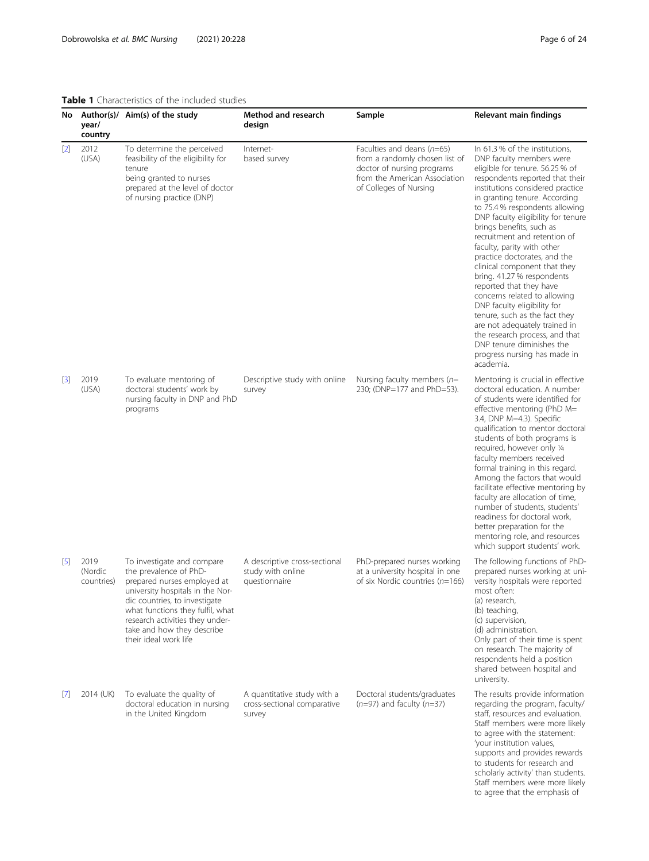<span id="page-5-0"></span>Table 1 Characteristics of the included studies

| No                 | year/<br>country              | Author(s)/ Aim(s) of the study                                                                                                                                                                                                                                                         | Method and research<br>design                                        | Sample                                                                                                                                                  | <b>Relevant main findings</b>                                                                                                                                                                                                                                                                                                                                                                                                                                                                                                                                                                                                                                                                                                                |
|--------------------|-------------------------------|----------------------------------------------------------------------------------------------------------------------------------------------------------------------------------------------------------------------------------------------------------------------------------------|----------------------------------------------------------------------|---------------------------------------------------------------------------------------------------------------------------------------------------------|----------------------------------------------------------------------------------------------------------------------------------------------------------------------------------------------------------------------------------------------------------------------------------------------------------------------------------------------------------------------------------------------------------------------------------------------------------------------------------------------------------------------------------------------------------------------------------------------------------------------------------------------------------------------------------------------------------------------------------------------|
| $[2]$              | 2012<br>(USA)                 | To determine the perceived<br>feasibility of the eligibility for<br>tenure<br>being granted to nurses<br>prepared at the level of doctor<br>of nursing practice (DNP)                                                                                                                  | Internet-<br>based survey                                            | Faculties and deans $(n=65)$<br>from a randomly chosen list of<br>doctor of nursing programs<br>from the American Association<br>of Colleges of Nursing | In 61.3 % of the institutions,<br>DNP faculty members were<br>eligible for tenure. 56.25 % of<br>respondents reported that their<br>institutions considered practice<br>in granting tenure. According<br>to 75.4 % respondents allowing<br>DNP faculty eligibility for tenure<br>brings benefits, such as<br>recruitment and retention of<br>faculty, parity with other<br>practice doctorates, and the<br>clinical component that they<br>bring. 41.27% respondents<br>reported that they have<br>concerns related to allowing<br>DNP faculty eligibility for<br>tenure, such as the fact they<br>are not adequately trained in<br>the research process, and that<br>DNP tenure diminishes the<br>progress nursing has made in<br>academia. |
| $[3]$              | 2019<br>(USA)                 | To evaluate mentoring of<br>doctoral students' work by<br>nursing faculty in DNP and PhD<br>programs                                                                                                                                                                                   | Descriptive study with online<br>survey                              | Nursing faculty members ( $n=$<br>230; (DNP=177 and PhD=53).                                                                                            | Mentoring is crucial in effective<br>doctoral education. A number<br>of students were identified for<br>effective mentoring (PhD M=<br>3.4, DNP M=4.3). Specific<br>qualification to mentor doctoral<br>students of both programs is<br>required, however only 1/4<br>faculty members received<br>formal training in this regard.<br>Among the factors that would<br>facilitate effective mentoring by<br>faculty are allocation of time,<br>number of students, students'<br>readiness for doctoral work,<br>better preparation for the<br>mentoring role, and resources<br>which support students' work.                                                                                                                                   |
| $\lbrack 5\rbrack$ | 2019<br>(Nordic<br>countries) | To investigate and compare<br>the prevalence of PhD-<br>prepared nurses employed at<br>university hospitals in the Nor-<br>dic countries, to investigate<br>what functions they fulfil, what<br>research activities they under-<br>take and how they describe<br>their ideal work life | A descriptive cross-sectional<br>study with online<br>questionnaire  | PhD-prepared nurses working<br>at a university hospital in one<br>of six Nordic countries $(n=166)$                                                     | The following functions of PhD-<br>prepared nurses working at uni-<br>versity hospitals were reported<br>most often:<br>(a) research,<br>(b) teaching,<br>(c) supervision,<br>(d) administration.<br>Only part of their time is spent<br>on research. The majority of<br>respondents held a position<br>shared between hospital and<br>university.                                                                                                                                                                                                                                                                                                                                                                                           |
| $\vert$            | 2014 (UK)                     | To evaluate the quality of<br>doctoral education in nursing<br>in the United Kingdom                                                                                                                                                                                                   | A quantitative study with a<br>cross-sectional comparative<br>survey | Doctoral students/graduates<br>$(n=97)$ and faculty $(n=37)$                                                                                            | The results provide information<br>regarding the program, faculty/<br>staff, resources and evaluation.<br>Staff members were more likely<br>to agree with the statement:<br>'your institution values,<br>supports and provides rewards<br>to students for research and<br>scholarly activity' than students.<br>Staff members were more likely                                                                                                                                                                                                                                                                                                                                                                                               |

to agree that the emphasis of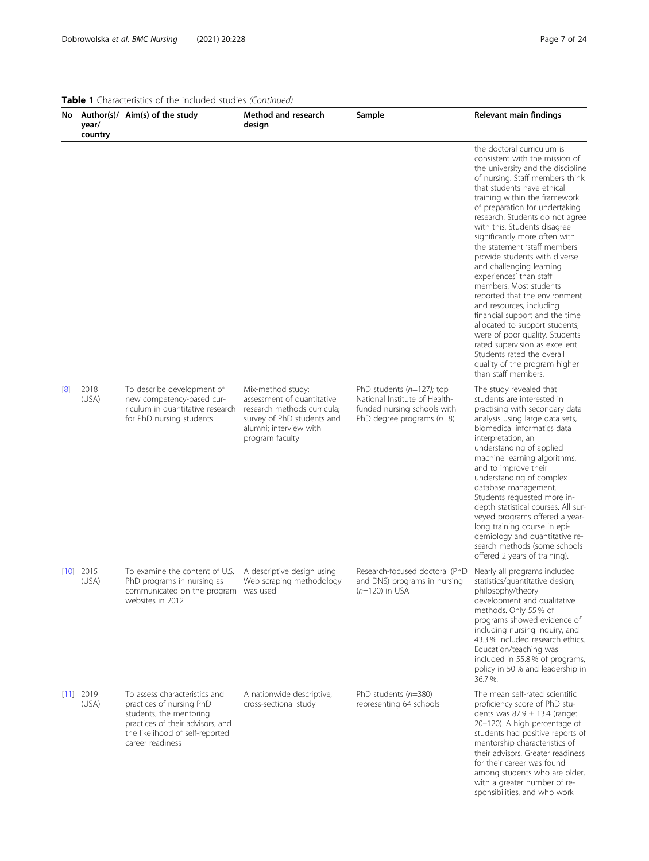with a greater number of responsibilities, and who work

|     | year/<br>country     | No Author(s)/ Aim(s) of the study                                                                                                                                               | <b>Method and research</b><br>design                                                                                                                      | Sample                                                                                                                                          | <b>Relevant main findings</b>                                                                                                                                                                                                                                                                                                                                                                                                                                                                                                                                                                                                                                                                                                                                                           |
|-----|----------------------|---------------------------------------------------------------------------------------------------------------------------------------------------------------------------------|-----------------------------------------------------------------------------------------------------------------------------------------------------------|-------------------------------------------------------------------------------------------------------------------------------------------------|-----------------------------------------------------------------------------------------------------------------------------------------------------------------------------------------------------------------------------------------------------------------------------------------------------------------------------------------------------------------------------------------------------------------------------------------------------------------------------------------------------------------------------------------------------------------------------------------------------------------------------------------------------------------------------------------------------------------------------------------------------------------------------------------|
|     |                      |                                                                                                                                                                                 |                                                                                                                                                           |                                                                                                                                                 | the doctoral curriculum is<br>consistent with the mission of<br>the university and the discipline<br>of nursing. Staff members think<br>that students have ethical<br>training within the framework<br>of preparation for undertaking<br>research. Students do not agree<br>with this. Students disagree<br>significantly more often with<br>the statement 'staff members<br>provide students with diverse<br>and challenging learning<br>experiences' than staff<br>members. Most students<br>reported that the environment<br>and resources, including<br>financial support and the time<br>allocated to support students,<br>were of poor quality. Students<br>rated supervision as excellent.<br>Students rated the overall<br>quality of the program higher<br>than staff members. |
| [8] | 2018<br>(USA)        | To describe development of<br>new competency-based cur-<br>riculum in quantitative research<br>for PhD nursing students                                                         | Mix-method study:<br>assessment of quantitative<br>research methods curricula;<br>survey of PhD students and<br>alumni; interview with<br>program faculty | PhD students $(n=127)$ ; top<br>National Institute of Health-<br>funded nursing schools with<br>PhD degree programs $(n=8)$                     | The study revealed that<br>students are interested in<br>practising with secondary data<br>analysis using large data sets,<br>biomedical informatics data<br>interpretation, an<br>understanding of applied<br>machine learning algorithms,<br>and to improve their<br>understanding of complex<br>database management.<br>Students requested more in-<br>depth statistical courses. All sur-<br>veyed programs offered a year-<br>long training course in epi-<br>demiology and quantitative re-<br>search methods (some schools<br>offered 2 years of training).                                                                                                                                                                                                                      |
|     | $[10]$ 2015<br>(USA) | To examine the content of U.S. A descriptive design using<br>PhD programs in nursing as Web scraping methodology<br>communicated on the program was used<br>websites in 2012    |                                                                                                                                                           | Research-focused doctoral (PhD Nearly all programs included<br>and DNS) programs in nursing statistics/quantitative design,<br>$(n=120)$ in USA | philosophy/theory<br>development and qualitative<br>methods. Only 55 % of<br>programs showed evidence of<br>including nursing inquiry, and<br>43.3 % included research ethics.<br>Education/teaching was<br>included in 55.8% of programs,<br>policy in 50% and leadership in<br>36.7%.                                                                                                                                                                                                                                                                                                                                                                                                                                                                                                 |
|     | $[11]$ 2019<br>(USA) | To assess characteristics and<br>practices of nursing PhD<br>students, the mentoring<br>practices of their advisors, and<br>the likelihood of self-reported<br>career readiness | A nationwide descriptive,<br>cross-sectional study                                                                                                        | PhD students $(n=380)$<br>representing 64 schools                                                                                               | The mean self-rated scientific<br>proficiency score of PhD stu-<br>dents was $87.9 \pm 13.4$ (range:<br>20-120). A high percentage of<br>students had positive reports of<br>mentorship characteristics of<br>their advisors. Greater readiness<br>for their career was found<br>among students who are older,                                                                                                                                                                                                                                                                                                                                                                                                                                                                          |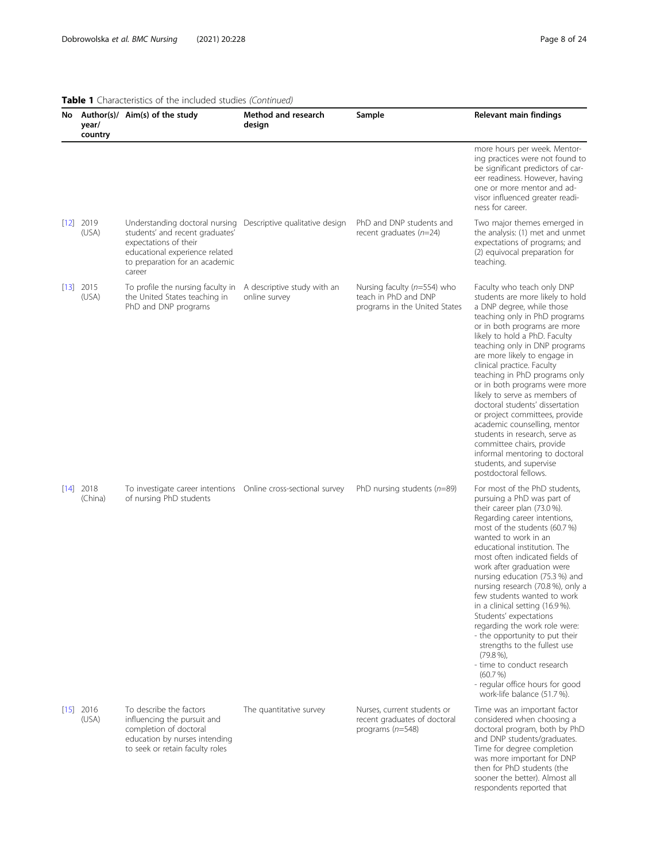#### Table 1 Characteristics of the included studies (Continued) No Author(s)/ Aim(s) of the study year/ country **Method and research** design Sample Relevant main findings more hours per week. Mentoring practices were not found to be significant predictors of career readiness. However, having one or more mentor and advisor influenced greater readiness for career. [[12](#page-22-0)] 2019 (USA) Understanding doctoral nursing Descriptive qualitative design PhD and DNP students and students' and recent graduates' expectations of their educational experience related to preparation for an academic career recent graduates (n=24) Two major themes emerged in the analysis: (1) met and unmet expectations of programs; and (2) equivocal preparation for teaching. [[13](#page-22-0)] 2015  $(115A)$ To profile the nursing faculty in A descriptive study with an the United States teaching in PhD and DNP programs online survey Nursing faculty (n=554) who teach in PhD and DNP programs in the United States Faculty who teach only DNP students are more likely to hold a DNP degree, while those teaching only in PhD programs or in both programs are more likely to hold a PhD. Faculty teaching only in DNP programs are more likely to engage in clinical practice. Faculty teaching in PhD programs only or in both programs were more likely to serve as members of doctoral students' dissertation or project committees, provide academic counselling, mentor students in research, serve as committee chairs, provide informal mentoring to doctoral students, and supervise postdoctoral fellows. [[14](#page-22-0)] 2018 (China) To investigate career intentions Online cross-sectional survey of nursing PhD students PhD nursing students ( $n=89$ ) For most of the PhD students, pursuing a PhD was part of their career plan (73.0 %). Regarding career intentions, most of the students (60.7 %) wanted to work in an educational institution. The most often indicated fields of work after graduation were nursing education (75.3 %) and nursing research (70.8 %), only a few students wanted to work in a clinical setting (16.9 %). Students' expectations regarding the work role were: - the opportunity to put their strengths to the fullest use  $(79.8\%),$ - time to conduct research (60.7 %) - regular office hours for good work-life balance (51.7 %). [[15](#page-22-0)] 2016 (USA) To describe the factors influencing the pursuit and completion of doctoral education by nurses intending to seek or retain faculty roles The quantitative survey Nurses, current students or recent graduates of doctoral programs (n=548) Time was an important factor considered when choosing a doctoral program, both by PhD and DNP students/graduates. Time for degree completion was more important for DNP then for PhD students (the sooner the better). Almost all respondents reported that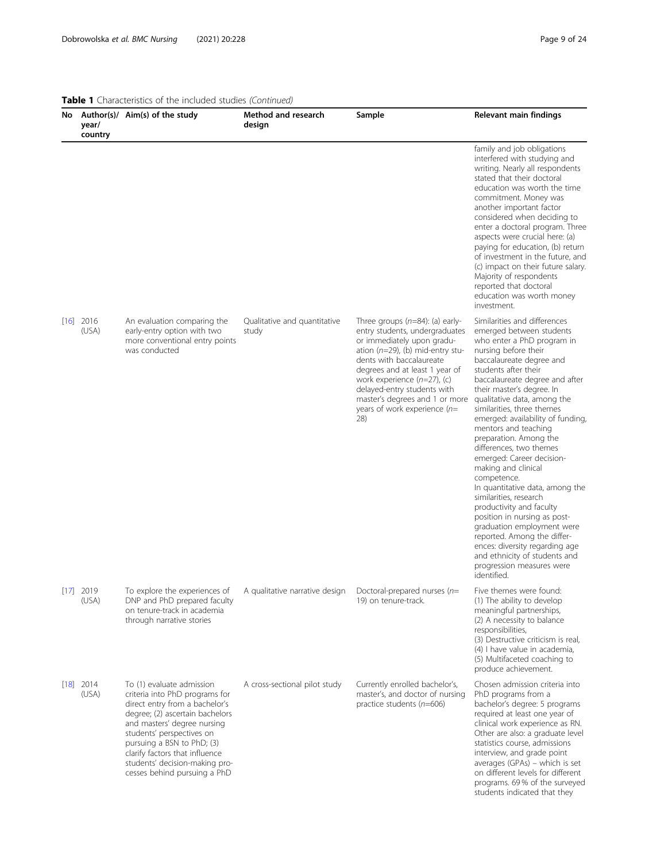| year/<br>country     | No Author(s)/ Aim(s) of the study                                                                                                                                                                                                                                                                                              | Method and research<br>design         | Sample                                                                                                                                                                                                                                                                                                                                               | Relevant main findings                                                                                                                                                                                                                                                                                                                                                                                                                                                                                                                                                                                                                                                                                                                                                                   |
|----------------------|--------------------------------------------------------------------------------------------------------------------------------------------------------------------------------------------------------------------------------------------------------------------------------------------------------------------------------|---------------------------------------|------------------------------------------------------------------------------------------------------------------------------------------------------------------------------------------------------------------------------------------------------------------------------------------------------------------------------------------------------|------------------------------------------------------------------------------------------------------------------------------------------------------------------------------------------------------------------------------------------------------------------------------------------------------------------------------------------------------------------------------------------------------------------------------------------------------------------------------------------------------------------------------------------------------------------------------------------------------------------------------------------------------------------------------------------------------------------------------------------------------------------------------------------|
|                      |                                                                                                                                                                                                                                                                                                                                |                                       |                                                                                                                                                                                                                                                                                                                                                      | family and job obligations<br>interfered with studying and<br>writing. Nearly all respondents<br>stated that their doctoral<br>education was worth the time<br>commitment. Money was<br>another important factor<br>considered when deciding to<br>enter a doctoral program. Three<br>aspects were crucial here: (a)<br>paying for education, (b) return<br>of investment in the future, and<br>(c) impact on their future salary.<br>Majority of respondents<br>reported that doctoral<br>education was worth money<br>investment.                                                                                                                                                                                                                                                      |
| $[16]$ 2016<br>(USA) | An evaluation comparing the<br>early-entry option with two<br>more conventional entry points<br>was conducted                                                                                                                                                                                                                  | Qualitative and quantitative<br>study | Three groups $(n=84)$ : (a) early-<br>entry students, undergraduates<br>or immediately upon gradu-<br>ation ( $n=29$ ), (b) mid-entry stu-<br>dents with baccalaureate<br>degrees and at least 1 year of<br>work experience $(n=27)$ , (c)<br>delayed-entry students with<br>master's degrees and 1 or more<br>years of work experience $(n=$<br>28) | Similarities and differences<br>emerged between students<br>who enter a PhD program in<br>nursing before their<br>baccalaureate degree and<br>students after their<br>baccalaureate degree and after<br>their master's degree. In<br>qualitative data, among the<br>similarities, three themes<br>emerged: availability of funding,<br>mentors and teaching<br>preparation. Among the<br>differences, two themes<br>emerged: Career decision-<br>making and clinical<br>competence.<br>In quantitative data, among the<br>similarities, research<br>productivity and faculty<br>position in nursing as post-<br>graduation employment were<br>reported. Among the differ-<br>ences: diversity regarding age<br>and ethnicity of students and<br>progression measures were<br>identified. |
| $[17]$ 2019<br>(USA) | To explore the experiences of<br>DNP and PhD prepared faculty<br>on tenure-track in academia<br>through narrative stories                                                                                                                                                                                                      | A qualitative narrative design        | Doctoral-prepared nurses ( $n=$<br>19) on tenure-track.                                                                                                                                                                                                                                                                                              | Five themes were found:<br>(1) The ability to develop<br>meaningful partnerships,<br>(2) A necessity to balance<br>responsibilities,<br>(3) Destructive criticism is real,<br>(4) I have value in academia,<br>(5) Multifaceted coaching to<br>produce achievement.                                                                                                                                                                                                                                                                                                                                                                                                                                                                                                                      |
| $[18]$ 2014<br>(USA) | To (1) evaluate admission<br>criteria into PhD programs for<br>direct entry from a bachelor's<br>degree; (2) ascertain bachelors<br>and masters' degree nursing<br>students' perspectives on<br>pursuing a BSN to PhD; (3)<br>clarify factors that influence<br>students' decision-making pro-<br>cesses behind pursuing a PhD | A cross-sectional pilot study         | Currently enrolled bachelor's,<br>master's, and doctor of nursing<br>practice students $(n=606)$                                                                                                                                                                                                                                                     | Chosen admission criteria into<br>PhD programs from a<br>bachelor's degree: 5 programs<br>required at least one year of<br>clinical work experience as RN.<br>Other are also: a graduate level<br>statistics course, admissions<br>interview, and grade point<br>averages (GPAs) - which is set<br>on different levels for different<br>programs. 69% of the surveyed<br>students indicated that they                                                                                                                                                                                                                                                                                                                                                                                    |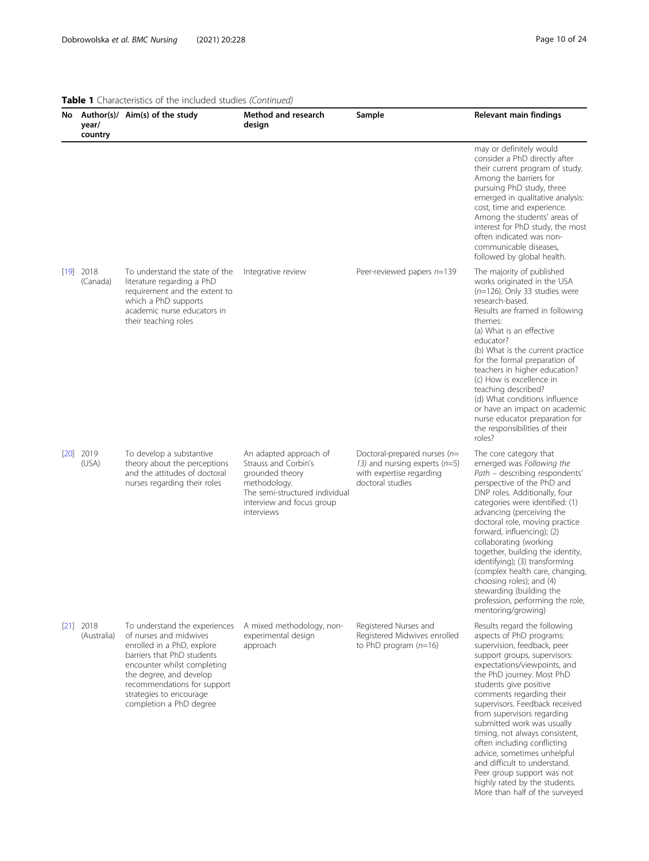More than half of the surveyed

| year/<br>country           | No Author(s)/ Aim(s) of the study                                                                                                                                                                                                                                  | Method and research<br>design                                                                                                                                  | Sample                                                                                                             | Relevant main findings                                                                                                                                                                                                                                                                                                                                                                                                                                                                                                                    |
|----------------------------|--------------------------------------------------------------------------------------------------------------------------------------------------------------------------------------------------------------------------------------------------------------------|----------------------------------------------------------------------------------------------------------------------------------------------------------------|--------------------------------------------------------------------------------------------------------------------|-------------------------------------------------------------------------------------------------------------------------------------------------------------------------------------------------------------------------------------------------------------------------------------------------------------------------------------------------------------------------------------------------------------------------------------------------------------------------------------------------------------------------------------------|
|                            |                                                                                                                                                                                                                                                                    |                                                                                                                                                                |                                                                                                                    | may or definitely would<br>consider a PhD directly after<br>their current program of study.<br>Among the barriers for<br>pursuing PhD study, three<br>emerged in qualitative analysis:<br>cost, time and experience.<br>Among the students' areas of<br>interest for PhD study, the most<br>often indicated was non-<br>communicable diseases,<br>followed by global health.                                                                                                                                                              |
| $[19]$ 2018<br>(Canada)    | To understand the state of the<br>literature regarding a PhD<br>requirement and the extent to<br>which a PhD supports<br>academic nurse educators in<br>their teaching roles                                                                                       | Integrative review                                                                                                                                             | Peer-reviewed papers n=139                                                                                         | The majority of published<br>works originated in the USA<br>$(n=126)$ . Only 33 studies were<br>research-based.<br>Results are framed in following<br>themes:<br>(a) What is an effective<br>educator?<br>(b) What is the current practice<br>for the formal preparation of<br>teachers in higher education?<br>(c) How is excellence in<br>teaching described?<br>(d) What conditions influence<br>or have an impact on academic<br>nurse educator preparation for<br>the responsibilities of their<br>roles?                            |
| $[20]$ 2019<br>(USA)       | To develop a substantive<br>theory about the perceptions<br>and the attitudes of doctoral<br>nurses regarding their roles                                                                                                                                          | An adapted approach of<br>Strauss and Corbin's<br>grounded theory<br>methodology.<br>The semi-structured individual<br>interview and focus group<br>interviews | Doctoral-prepared nurses ( $n=$<br>13) and nursing experts $(n=5)$<br>with expertise regarding<br>doctoral studies | The core category that<br>emerged was Following the<br>Path - describing respondents'<br>perspective of the PhD and<br>DNP roles. Additionally, four<br>categories were identified: (1)<br>advancing (perceiving the<br>doctoral role, moving practice<br>forward, influencing); (2)<br>collaborating (working<br>together, building the identity,<br>identifying); (3) transforming<br>(complex health care, changing,<br>choosing roles); and (4)<br>stewarding (building the<br>profession, performing the role,<br>mentoring/growing) |
| $[21]$ 2018<br>(Australia) | To understand the experiences<br>of nurses and midwives<br>enrolled in a PhD, explore<br>barriers that PhD students<br>encounter whilst completing<br>the degree, and develop<br>recommendations for support<br>strategies to encourage<br>completion a PhD degree | A mixed methodology, non-<br>experimental design<br>approach                                                                                                   | Registered Nurses and<br>Registered Midwives enrolled<br>to PhD program $(n=16)$                                   | Results regard the following<br>aspects of PhD programs:<br>supervision, feedback, peer<br>support groups, supervisors:<br>expectations/viewpoints, and<br>the PhD journey. Most PhD<br>students give positive<br>comments regarding their<br>supervisors. Feedback received<br>from supervisors regarding<br>submitted work was usually<br>timing, not always consistent,<br>often including conflicting<br>advice, sometimes unhelpful<br>and difficult to understand.<br>Peer group support was not<br>highly rated by the students.   |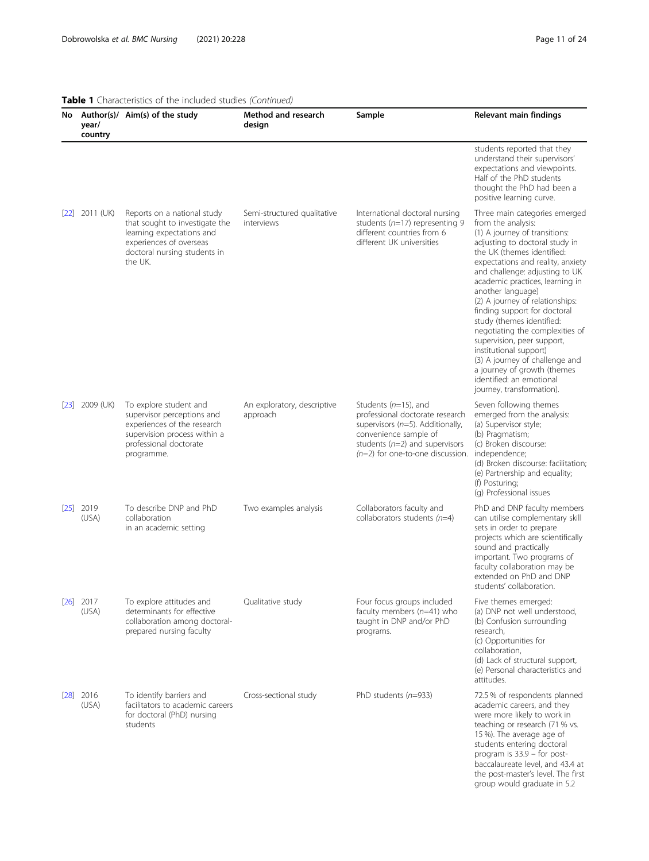|                   | year/<br>country     | No Author(s)/ Aim(s) of the study                                                                                                                                | <b>Method and research</b><br>design      | Sample                                                                                                                                                                                                  | Relevant main findings                                                                                                                                                                                                                                                                                                                                                                                                                                                                                                                                                                                   |
|-------------------|----------------------|------------------------------------------------------------------------------------------------------------------------------------------------------------------|-------------------------------------------|---------------------------------------------------------------------------------------------------------------------------------------------------------------------------------------------------------|----------------------------------------------------------------------------------------------------------------------------------------------------------------------------------------------------------------------------------------------------------------------------------------------------------------------------------------------------------------------------------------------------------------------------------------------------------------------------------------------------------------------------------------------------------------------------------------------------------|
|                   |                      |                                                                                                                                                                  |                                           |                                                                                                                                                                                                         | students reported that they<br>understand their supervisors'<br>expectations and viewpoints.<br>Half of the PhD students<br>thought the PhD had been a<br>positive learning curve.                                                                                                                                                                                                                                                                                                                                                                                                                       |
| 22                | 2011 (UK)            | Reports on a national study<br>that sought to investigate the<br>learning expectations and<br>experiences of overseas<br>doctoral nursing students in<br>the UK. | Semi-structured qualitative<br>interviews | International doctoral nursing<br>students ( $n=17$ ) representing 9<br>different countries from 6<br>different UK universities                                                                         | Three main categories emerged<br>from the analysis:<br>(1) A journey of transitions:<br>adjusting to doctoral study in<br>the UK (themes identified:<br>expectations and reality, anxiety<br>and challenge: adjusting to UK<br>academic practices, learning in<br>another language)<br>(2) A journey of relationships:<br>finding support for doctoral<br>study (themes identified:<br>negotiating the complexities of<br>supervision, peer support,<br>institutional support)<br>(3) A journey of challenge and<br>a journey of growth (themes<br>identified: an emotional<br>journey, transformation). |
| $\left 23\right $ | 2009 (UK)            | To explore student and<br>supervisor perceptions and<br>experiences of the research<br>supervision process within a<br>professional doctorate<br>programme.      | An exploratory, descriptive<br>approach   | Students $(n=15)$ , and<br>professional doctorate research<br>supervisors ( $n=5$ ). Additionally,<br>convenience sample of<br>students ( $n=2$ ) and supervisors<br>$(n=2)$ for one-to-one discussion. | Seven following themes<br>emerged from the analysis:<br>(a) Supervisor style;<br>(b) Pragmatism;<br>(c) Broken discourse:<br>independence;<br>(d) Broken discourse: facilitation;<br>(e) Partnership and equality;<br>(f) Posturing;<br>(g) Professional issues                                                                                                                                                                                                                                                                                                                                          |
|                   | $[25]$ 2019<br>(USA) | To describe DNP and PhD<br>collaboration<br>in an academic setting                                                                                               | Two examples analysis                     | Collaborators faculty and<br>collaborators students $(n=4)$                                                                                                                                             | PhD and DNP faculty members<br>can utilise complementary skill<br>sets in order to prepare<br>projects which are scientifically<br>sound and practically<br>important. Two programs of<br>faculty collaboration may be<br>extended on PhD and DNP<br>students' collaboration.                                                                                                                                                                                                                                                                                                                            |
|                   | $[26]$ 2017<br>(USA) | To explore attitudes and<br>determinants for effective<br>collaboration among doctoral-<br>prepared nursing faculty                                              | Qualitative study                         | Four focus groups included<br>faculty members $(n=41)$ who<br>taught in DNP and/or PhD<br>programs.                                                                                                     | Five themes emerged:<br>(a) DNP not well understood,<br>(b) Confusion surrounding<br>research,<br>(c) Opportunities for<br>collaboration,<br>(d) Lack of structural support,<br>(e) Personal characteristics and<br>attitudes.                                                                                                                                                                                                                                                                                                                                                                           |
| $\sqrt{28}$       | 2016<br>(USA)        | To identify barriers and<br>facilitators to academic careers<br>for doctoral (PhD) nursing<br>students                                                           | Cross-sectional study                     | PhD students $(n=933)$                                                                                                                                                                                  | 72.5 % of respondents planned<br>academic careers, and they<br>were more likely to work in<br>teaching or research (71 % vs.<br>15 %). The average age of<br>students entering doctoral<br>program is 33.9 - for post-<br>baccalaureate level, and 43.4 at<br>the post-master's level. The first<br>group would graduate in 5.2                                                                                                                                                                                                                                                                          |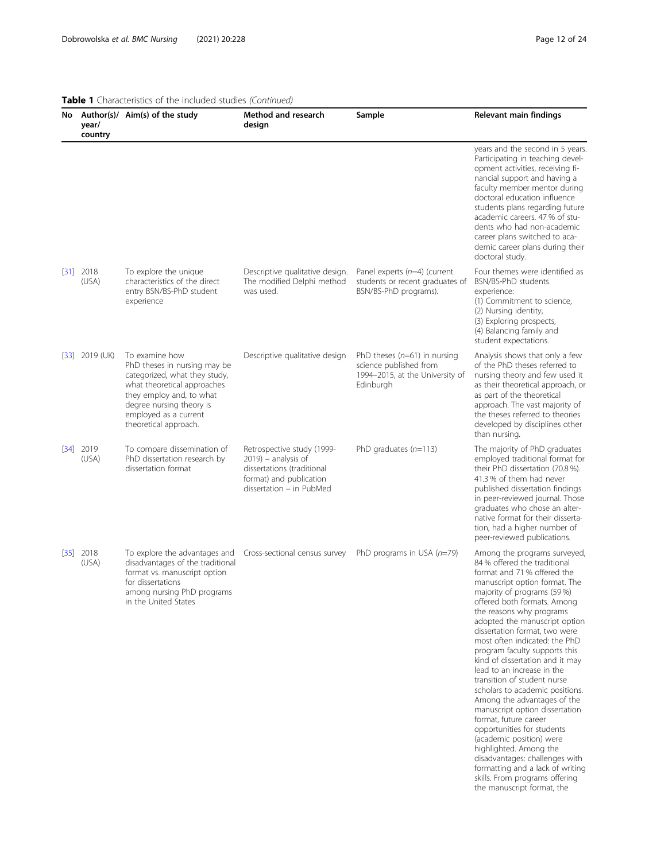|                   | year/<br>country     | No Author(s)/ Aim(s) of the study                                                                                                                                                                                        | Method and research<br>design                                                                                                             | Sample                                                                                                   | <b>Relevant main findings</b>                                                                                                                                                                                                                                                                                                                                                                                                                                                                                                                                                                                                                                                                                                                                                                                     |
|-------------------|----------------------|--------------------------------------------------------------------------------------------------------------------------------------------------------------------------------------------------------------------------|-------------------------------------------------------------------------------------------------------------------------------------------|----------------------------------------------------------------------------------------------------------|-------------------------------------------------------------------------------------------------------------------------------------------------------------------------------------------------------------------------------------------------------------------------------------------------------------------------------------------------------------------------------------------------------------------------------------------------------------------------------------------------------------------------------------------------------------------------------------------------------------------------------------------------------------------------------------------------------------------------------------------------------------------------------------------------------------------|
|                   |                      |                                                                                                                                                                                                                          |                                                                                                                                           |                                                                                                          | years and the second in 5 years.<br>Participating in teaching devel-<br>opment activities, receiving fi-<br>nancial support and having a<br>faculty member mentor during<br>doctoral education influence<br>students plans regarding future<br>academic careers. 47 % of stu-<br>dents who had non-academic<br>career plans switched to aca-<br>demic career plans during their<br>doctoral study.                                                                                                                                                                                                                                                                                                                                                                                                                |
|                   | $[31]$ 2018<br>(USA) | To explore the unique<br>characteristics of the direct<br>entry BSN/BS-PhD student<br>experience                                                                                                                         | Descriptive qualitative design.<br>The modified Delphi method<br>was used.                                                                | Panel experts $(n=4)$ (current<br>students or recent graduates of<br>BSN/BS-PhD programs).               | Four themes were identified as<br>BSN/BS-PhD students<br>experience:<br>(1) Commitment to science,<br>(2) Nursing identity,<br>(3) Exploring prospects,<br>(4) Balancing family and<br>student expectations.                                                                                                                                                                                                                                                                                                                                                                                                                                                                                                                                                                                                      |
|                   | $[33]$ 2019 (UK)     | To examine how<br>PhD theses in nursing may be<br>categorized, what they study,<br>what theoretical approaches<br>they employ and, to what<br>degree nursing theory is<br>employed as a current<br>theoretical approach. | Descriptive qualitative design                                                                                                            | PhD theses $(n=61)$ in nursing<br>science published from<br>1994-2015, at the University of<br>Edinburgh | Analysis shows that only a few<br>of the PhD theses referred to<br>nursing theory and few used it<br>as their theoretical approach, or<br>as part of the theoretical<br>approach. The vast majority of<br>the theses referred to theories<br>developed by disciplines other<br>than nursing.                                                                                                                                                                                                                                                                                                                                                                                                                                                                                                                      |
| $\left[34\right]$ | 2019<br>(USA)        | To compare dissemination of<br>PhD dissertation research by<br>dissertation format                                                                                                                                       | Retrospective study (1999-<br>$2019$ ) – analysis of<br>dissertations (traditional<br>format) and publication<br>dissertation - in PubMed | PhD graduates $(n=113)$                                                                                  | The majority of PhD graduates<br>employed traditional format for<br>their PhD dissertation (70.8 %).<br>41.3 % of them had never<br>published dissertation findings<br>in peer-reviewed journal. Those<br>graduates who chose an alter-<br>native format for their disserta-<br>tion, had a higher number of<br>peer-reviewed publications.                                                                                                                                                                                                                                                                                                                                                                                                                                                                       |
|                   | $[35]$ 2018<br>(USA) | To explore the advantages and<br>disadvantages of the traditional<br>format vs. manuscript option<br>for dissertations<br>among nursing PhD programs<br>in the United States                                             | Cross-sectional census survey                                                                                                             | PhD programs in USA $(n=79)$                                                                             | Among the programs surveyed,<br>84 % offered the traditional<br>format and 71 % offered the<br>manuscript option format. The<br>majority of programs (59 %)<br>offered both formats. Among<br>the reasons why programs<br>adopted the manuscript option<br>dissertation format, two were<br>most often indicated: the PhD<br>program faculty supports this<br>kind of dissertation and it may<br>lead to an increase in the<br>transition of student nurse<br>scholars to academic positions.<br>Among the advantages of the<br>manuscript option dissertation<br>format, future career<br>opportunities for students<br>(academic position) were<br>highlighted. Among the<br>disadvantages: challenges with<br>formatting and a lack of writing<br>skills. From programs offering<br>the manuscript format, the |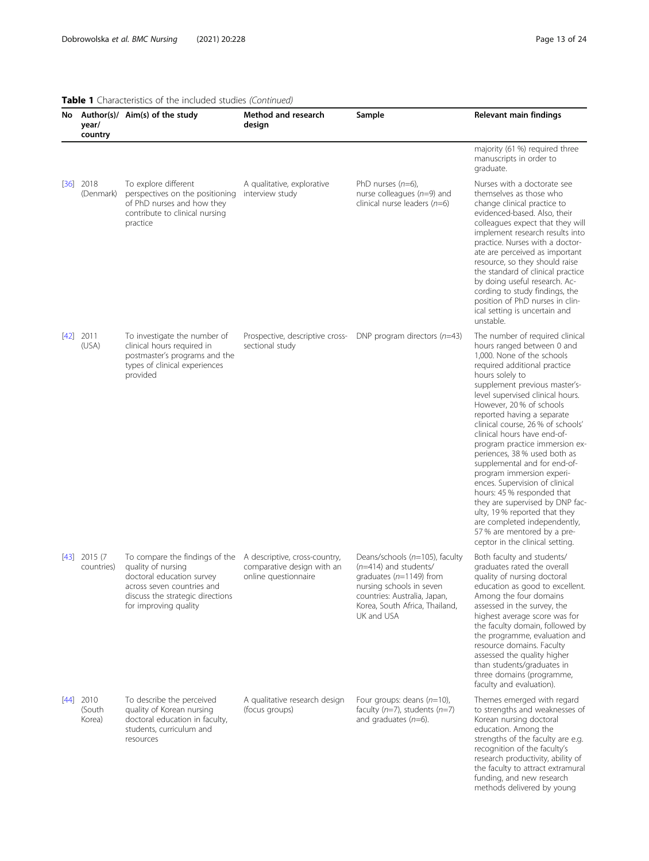## Table 1 Characteristics of the included studies (Continued)

|      | year/<br>country             | No Author(s)/ Aim(s) of the study                                                                                                                                            | Method and research<br>design                                                       | Sample                                                                                                                                                                                               | Relevant main findings                                                                                                                                                                                                                                                                                                                                                                                                                                                                                                                                                                                                                                                                                              |
|------|------------------------------|------------------------------------------------------------------------------------------------------------------------------------------------------------------------------|-------------------------------------------------------------------------------------|------------------------------------------------------------------------------------------------------------------------------------------------------------------------------------------------------|---------------------------------------------------------------------------------------------------------------------------------------------------------------------------------------------------------------------------------------------------------------------------------------------------------------------------------------------------------------------------------------------------------------------------------------------------------------------------------------------------------------------------------------------------------------------------------------------------------------------------------------------------------------------------------------------------------------------|
|      |                              |                                                                                                                                                                              |                                                                                     |                                                                                                                                                                                                      | majority (61 %) required three<br>manuscripts in order to<br>graduate.                                                                                                                                                                                                                                                                                                                                                                                                                                                                                                                                                                                                                                              |
| [36] | 2018<br>(Denmark)            | To explore different<br>perspectives on the positioning<br>of PhD nurses and how they<br>contribute to clinical nursing<br>practice                                          | A qualitative, explorative<br>interview study                                       | PhD nurses $(n=6)$ ,<br>nurse colleagues ( $n=9$ ) and<br>clinical nurse leaders $(n=6)$                                                                                                             | Nurses with a doctorate see<br>themselves as those who<br>change clinical practice to<br>evidenced-based. Also, their<br>colleagues expect that they will<br>implement research results into<br>practice. Nurses with a doctor-<br>ate are perceived as important<br>resource, so they should raise<br>the standard of clinical practice<br>by doing useful research. Ac-<br>cording to study findings, the<br>position of PhD nurses in clin-<br>ical setting is uncertain and<br>unstable.                                                                                                                                                                                                                        |
| [42] | 2011<br>(USA)                | To investigate the number of<br>clinical hours required in<br>postmaster's programs and the<br>types of clinical experiences<br>provided                                     | Prospective, descriptive cross-<br>sectional study                                  | DNP program directors $(n=43)$                                                                                                                                                                       | The number of required clinical<br>hours ranged between 0 and<br>1,000. None of the schools<br>required additional practice<br>hours solely to<br>supplement previous master's-<br>level supervised clinical hours.<br>However, 20% of schools<br>reported having a separate<br>clinical course, 26 % of schools'<br>clinical hours have end-of-<br>program practice immersion ex-<br>periences, 38% used both as<br>supplemental and for end-of-<br>program immersion experi-<br>ences. Supervision of clinical<br>hours: 45 % responded that<br>they are supervised by DNP fac-<br>ulty, 19% reported that they<br>are completed independently,<br>57 % are mentored by a pre-<br>ceptor in the clinical setting. |
|      | $[43]$ 2015 (7<br>countries) | To compare the findings of the<br>quality of nursing<br>doctoral education survey<br>across seven countries and<br>discuss the strategic directions<br>for improving quality | A descriptive, cross-country,<br>comparative design with an<br>online questionnaire | Deans/schools (n=105), faculty<br>$(n=414)$ and students/<br>graduates ( $n=1149$ ) from<br>nursing schools in seven<br>countries: Australia, Japan,<br>Korea, South Africa, Thailand,<br>UK and USA | Both faculty and students/<br>graduates rated the overall<br>quality of nursing doctoral<br>education as good to excellent.<br>Among the four domains<br>assessed in the survey, the<br>highest average score was for<br>the faculty domain, followed by<br>the programme, evaluation and<br>resource domains. Faculty<br>assessed the quality higher<br>than students/graduates in<br>three domains (programme,<br>faculty and evaluation).                                                                                                                                                                                                                                                                        |
| [44] | 2010<br>(South<br>Korea)     | To describe the perceived<br>quality of Korean nursing<br>doctoral education in faculty,<br>students, curriculum and<br>resources                                            | A qualitative research design<br>(focus groups)                                     | Four groups: deans $(n=10)$ ,<br>faculty $(n=7)$ , students $(n=7)$<br>and graduates $(n=6)$ .                                                                                                       | Themes emerged with regard<br>to strengths and weaknesses of<br>Korean nursing doctoral<br>education. Among the<br>strengths of the faculty are e.g.<br>recognition of the faculty's<br>research productivity, ability of<br>the faculty to attract extramural<br>funding, and new research<br>methods delivered by young                                                                                                                                                                                                                                                                                                                                                                                           |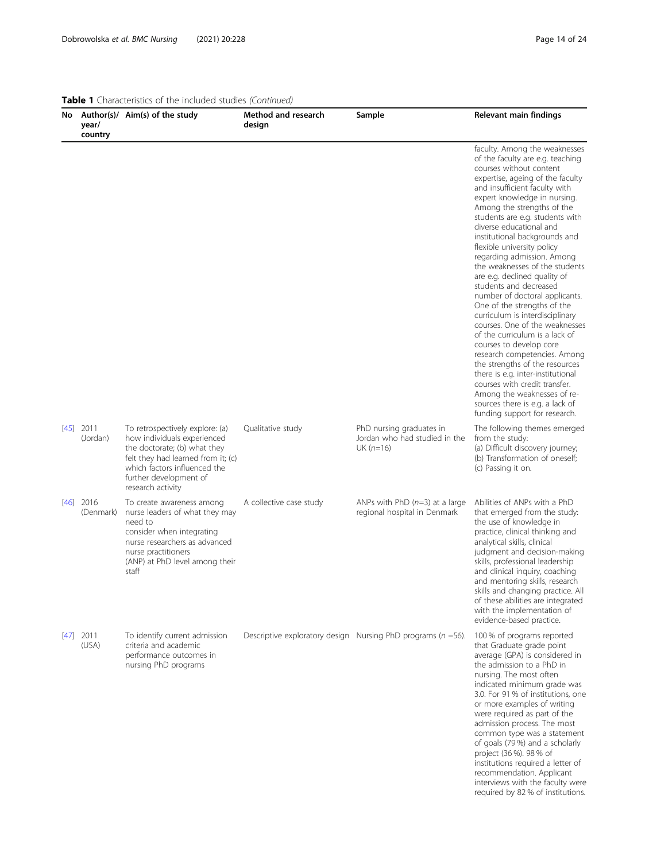interviews with the faculty were required by 82 % of institutions.

| No.  | year/<br>country        | Author(s)/ Aim(s) of the study                                                                                                                                                                                      | <b>Method and research</b><br>design | Sample                                                                  | Relevant main findings                                                                                                                                                                                                                                                                                                                                                                                                                                                                                                                                                                                                                                                                                                                                                                                                                                                                                                               |
|------|-------------------------|---------------------------------------------------------------------------------------------------------------------------------------------------------------------------------------------------------------------|--------------------------------------|-------------------------------------------------------------------------|--------------------------------------------------------------------------------------------------------------------------------------------------------------------------------------------------------------------------------------------------------------------------------------------------------------------------------------------------------------------------------------------------------------------------------------------------------------------------------------------------------------------------------------------------------------------------------------------------------------------------------------------------------------------------------------------------------------------------------------------------------------------------------------------------------------------------------------------------------------------------------------------------------------------------------------|
|      |                         |                                                                                                                                                                                                                     |                                      |                                                                         | faculty. Among the weaknesses<br>of the faculty are e.g. teaching<br>courses without content<br>expertise, ageing of the faculty<br>and insufficient faculty with<br>expert knowledge in nursing.<br>Among the strengths of the<br>students are e.g. students with<br>diverse educational and<br>institutional backgrounds and<br>flexible university policy<br>regarding admission. Among<br>the weaknesses of the students<br>are e.g. declined quality of<br>students and decreased<br>number of doctoral applicants.<br>One of the strengths of the<br>curriculum is interdisciplinary<br>courses. One of the weaknesses<br>of the curriculum is a lack of<br>courses to develop core<br>research competencies. Among<br>the strengths of the resources<br>there is e.g. inter-institutional<br>courses with credit transfer.<br>Among the weaknesses of re-<br>sources there is e.g. a lack of<br>funding support for research. |
|      | $[45]$ 2011<br>(Jordan) | To retrospectively explore: (a)<br>how individuals experienced<br>the doctorate; (b) what they<br>felt they had learned from it; (c)<br>which factors influenced the<br>further development of<br>research activity | Qualitative study                    | PhD nursing graduates in<br>Jordan who had studied in the<br>$UK(n=16)$ | The following themes emerged<br>from the study:<br>(a) Difficult discovery journey;<br>(b) Transformation of oneself;<br>(c) Passing it on.                                                                                                                                                                                                                                                                                                                                                                                                                                                                                                                                                                                                                                                                                                                                                                                          |
| [46] | 2016<br>(Denmark)       | To create awareness among<br>nurse leaders of what they may<br>need to<br>consider when integrating<br>nurse researchers as advanced<br>nurse practitioners<br>(ANP) at PhD level among their<br>staff              | A collective case study              | ANPs with PhD $(n=3)$ at a large<br>regional hospital in Denmark        | Abilities of ANPs with a PhD<br>that emerged from the study:<br>the use of knowledge in<br>practice, clinical thinking and<br>analytical skills, clinical<br>judgment and decision-making<br>skills, professional leadership<br>and clinical inquiry, coaching<br>and mentoring skills, research<br>skills and changing practice. All<br>of these abilities are integrated<br>with the implementation of<br>evidence-based practice.                                                                                                                                                                                                                                                                                                                                                                                                                                                                                                 |
|      | $[47]$ 2011<br>(USA)    | To identify current admission<br>criteria and academic<br>performance outcomes in<br>nursing PhD programs                                                                                                           |                                      | Descriptive exploratory design Nursing PhD programs ( $n = 56$ ).       | 100 % of programs reported<br>that Graduate grade point<br>average (GPA) is considered in<br>the admission to a PhD in<br>nursing. The most often<br>indicated minimum grade was<br>3.0. For 91 % of institutions, one<br>or more examples of writing<br>were required as part of the<br>admission process. The most<br>common type was a statement<br>of goals (79%) and a scholarly<br>project (36 %). 98 % of<br>institutions required a letter of<br>recommendation. Applicant                                                                                                                                                                                                                                                                                                                                                                                                                                                   |

# Table 1 Characteristics of the included studies (Continued)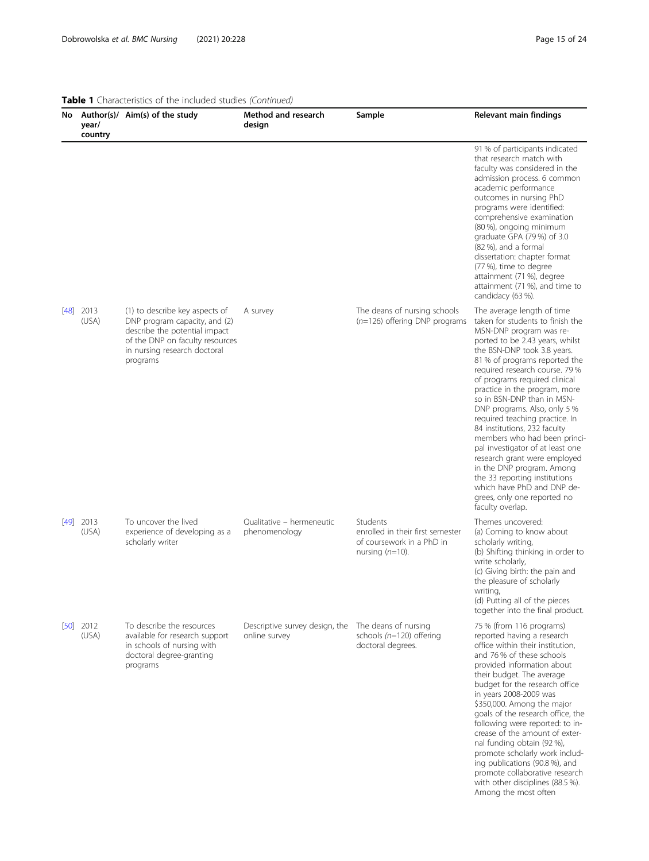with other disciplines (88.5 %) Among the most often

| year/<br>country     | No Author(s)/ Aim(s) of the study                                                                                                                                               | Method and research<br>design                   | Sample                                                                                          | Relevant main findings                                                                                                                                                                                                                                                                                                                                                                                                                                                                                                                                                                                                                                                             |
|----------------------|---------------------------------------------------------------------------------------------------------------------------------------------------------------------------------|-------------------------------------------------|-------------------------------------------------------------------------------------------------|------------------------------------------------------------------------------------------------------------------------------------------------------------------------------------------------------------------------------------------------------------------------------------------------------------------------------------------------------------------------------------------------------------------------------------------------------------------------------------------------------------------------------------------------------------------------------------------------------------------------------------------------------------------------------------|
|                      |                                                                                                                                                                                 |                                                 |                                                                                                 | 91 % of participants indicated<br>that research match with<br>faculty was considered in the<br>admission process. 6 common<br>academic performance<br>outcomes in nursing PhD<br>programs were identified:<br>comprehensive examination<br>(80 %), ongoing minimum<br>graduate GPA (79 %) of 3.0<br>(82 %), and a formal<br>dissertation: chapter format<br>(77 %), time to degree<br>attainment (71 %), degree<br>attainment (71 %), and time to<br>candidacy (63 %).                                                                                                                                                                                                             |
| $[48]$ 2013<br>(USA) | (1) to describe key aspects of<br>DNP program capacity, and (2)<br>describe the potential impact<br>of the DNP on faculty resources<br>in nursing research doctoral<br>programs | A survey                                        | The deans of nursing schools<br>$(n=126)$ offering DNP programs                                 | The average length of time<br>taken for students to finish the<br>MSN-DNP program was re-<br>ported to be 2.43 years, whilst<br>the BSN-DNP took 3.8 years.<br>81 % of programs reported the<br>required research course. 79%<br>of programs required clinical<br>practice in the program, more<br>so in BSN-DNP than in MSN-<br>DNP programs. Also, only 5 %<br>required teaching practice. In<br>84 institutions, 232 faculty<br>members who had been princi-<br>pal investigator of at least one<br>research grant were employed<br>in the DNP program. Among<br>the 33 reporting institutions<br>which have PhD and DNP de-<br>grees, only one reported no<br>faculty overlap. |
| $[49]$ 2013<br>(USA) | To uncover the lived<br>experience of developing as a<br>scholarly writer                                                                                                       | Qualitative - hermeneutic<br>phenomenology      | Students<br>enrolled in their first semester<br>of coursework in a PhD in<br>nursing $(n=10)$ . | Themes uncovered:<br>(a) Coming to know about<br>scholarly writing,<br>(b) Shifting thinking in order to<br>write scholarly,<br>(c) Giving birth: the pain and<br>the pleasure of scholarly<br>writing,<br>(d) Putting all of the pieces<br>together into the final product.                                                                                                                                                                                                                                                                                                                                                                                                       |
| $[50]$ 2012<br>(USA) | To describe the resources<br>available for research support<br>in schools of nursing with<br>doctoral degree-granting<br>programs                                               | Descriptive survey design, the<br>online survey | The deans of nursing<br>schools (n=120) offering<br>doctoral degrees.                           | 75 % (from 116 programs)<br>reported having a research<br>office within their institution,<br>and 76% of these schools<br>provided information about<br>their budget. The average<br>budget for the research office<br>in years 2008-2009 was<br>\$350,000. Among the major<br>goals of the research office, the<br>following were reported: to in-<br>crease of the amount of exter-<br>nal funding obtain (92 %),<br>promote scholarly work includ-<br>ing publications (90.8 %), and<br>promote collaborative research                                                                                                                                                          |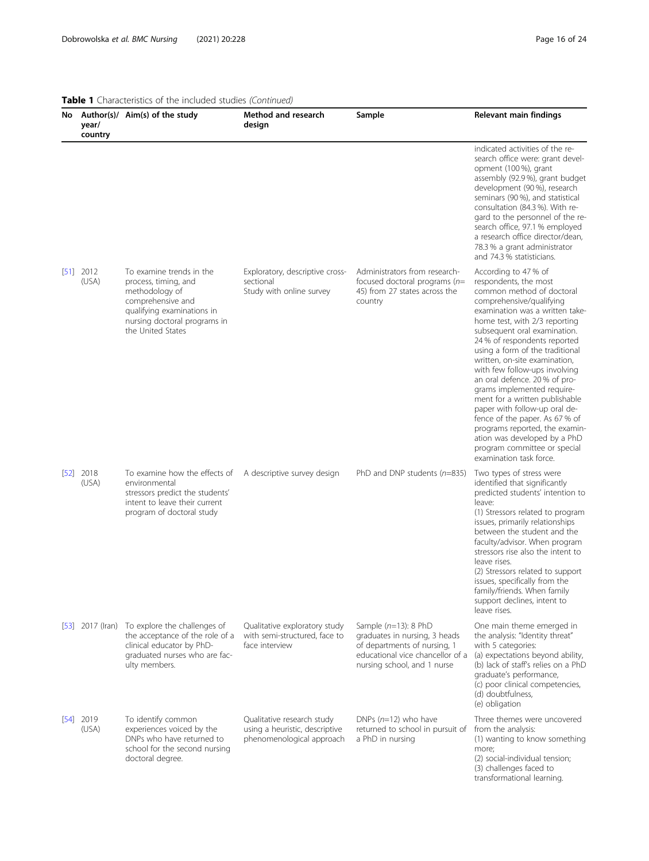|      | year/<br>country     | <b>Table 1</b> Characteristics of the included studies (Continued)<br>No Author(s)/ Aim(s) of the study                                                                     | Method and research<br>design                                                             | Sample                                                                                                                                                      | Relevant main findings                                                                                                                                                                                                                                                                                                                                                                                                                                                                                                                                                                                                                           |
|------|----------------------|-----------------------------------------------------------------------------------------------------------------------------------------------------------------------------|-------------------------------------------------------------------------------------------|-------------------------------------------------------------------------------------------------------------------------------------------------------------|--------------------------------------------------------------------------------------------------------------------------------------------------------------------------------------------------------------------------------------------------------------------------------------------------------------------------------------------------------------------------------------------------------------------------------------------------------------------------------------------------------------------------------------------------------------------------------------------------------------------------------------------------|
|      |                      |                                                                                                                                                                             |                                                                                           |                                                                                                                                                             | indicated activities of the re-<br>search office were: grant devel-<br>opment (100 %), grant<br>assembly (92.9 %), grant budget<br>development (90 %), research<br>seminars (90 %), and statistical<br>consultation (84.3 %). With re-<br>gard to the personnel of the re-<br>search office, 97.1 % employed<br>a research office director/dean,<br>78.3 % a grant administrator<br>and 74.3 % statisticians.                                                                                                                                                                                                                                    |
|      | $[51]$ 2012<br>(USA) | To examine trends in the<br>process, timing, and<br>methodology of<br>comprehensive and<br>qualifying examinations in<br>nursing doctoral programs in<br>the United States  | Exploratory, descriptive cross-<br>sectional<br>Study with online survey                  | Administrators from research-<br>focused doctoral programs $(n=$<br>45) from 27 states across the<br>country                                                | According to 47 % of<br>respondents, the most<br>common method of doctoral<br>comprehensive/qualifying<br>examination was a written take-<br>home test, with 2/3 reporting<br>subsequent oral examination.<br>24 % of respondents reported<br>using a form of the traditional<br>written, on-site examination,<br>with few follow-ups involving<br>an oral defence. 20 % of pro-<br>grams implemented require-<br>ment for a written publishable<br>paper with follow-up oral de-<br>fence of the paper. As 67 % of<br>programs reported, the examin-<br>ation was developed by a PhD<br>program committee or special<br>examination task force. |
|      | $[52]$ 2018<br>(USA) | To examine how the effects of A descriptive survey design<br>environmental<br>stressors predict the students'<br>intent to leave their current<br>program of doctoral study |                                                                                           | PhD and DNP students ( $n=835$ )                                                                                                                            | Two types of stress were<br>identified that significantly<br>predicted students' intention to<br>leave:<br>(1) Stressors related to program<br>issues, primarily relationships<br>between the student and the<br>faculty/advisor. When program<br>stressors rise also the intent to<br>leave rises.<br>(2) Stressors related to support<br>issues, specifically from the<br>family/friends. When family<br>support declines, intent to<br>leave rises.                                                                                                                                                                                           |
|      |                      | [53] 2017 (Iran) To explore the challenges of<br>the acceptance of the role of a<br>clinical educator by PhD-<br>graduated nurses who are fac-<br>ulty members.             | Qualitative exploratory study<br>with semi-structured, face to<br>face interview          | Sample $(n=13)$ : 8 PhD<br>graduates in nursing, 3 heads<br>of departments of nursing, 1<br>educational vice chancellor of a<br>nursing school, and 1 nurse | One main theme emerged in<br>the analysis: "Identity threat"<br>with 5 categories:<br>(a) expectations beyond ability,<br>(b) lack of staff's relies on a PhD<br>graduate's performance,<br>(c) poor clinical competencies,<br>(d) doubtfulness,<br>(e) obligation                                                                                                                                                                                                                                                                                                                                                                               |
| [54] | 2019<br>(USA)        | To identify common<br>experiences voiced by the<br>DNPs who have returned to<br>school for the second nursing<br>doctoral degree.                                           | Qualitative research study<br>using a heuristic, descriptive<br>phenomenological approach | DNPs $(n=12)$ who have<br>returned to school in pursuit of<br>a PhD in nursing                                                                              | Three themes were uncovered<br>from the analysis:<br>(1) wanting to know something<br>more;<br>(2) social-individual tension;<br>(3) challenges faced to<br>transformational learning.                                                                                                                                                                                                                                                                                                                                                                                                                                                           |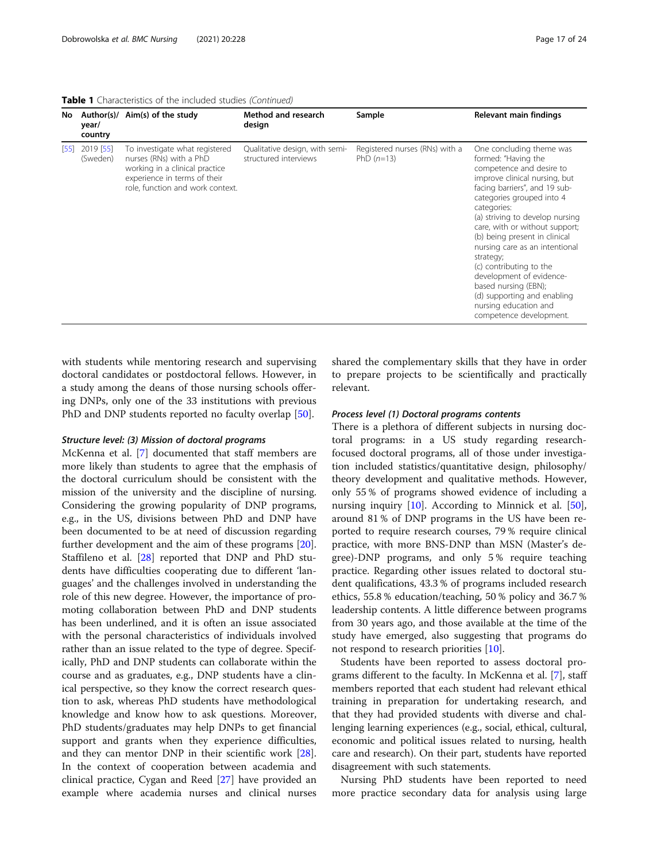Table 1 Characteristics of the included studies (Continued)

| No.  | year/<br>country      | Author(s)/ Aim(s) of the study                                                                                                                                  | Method and research<br>design                           | Sample                                         | Relevant main findings                                                                                                                                                                                                                                                                                                                                                                                                                                                                                           |
|------|-----------------------|-----------------------------------------------------------------------------------------------------------------------------------------------------------------|---------------------------------------------------------|------------------------------------------------|------------------------------------------------------------------------------------------------------------------------------------------------------------------------------------------------------------------------------------------------------------------------------------------------------------------------------------------------------------------------------------------------------------------------------------------------------------------------------------------------------------------|
| 1551 | 2019 [55]<br>(Sweden) | To investigate what registered<br>nurses (RNs) with a PhD<br>working in a clinical practice<br>experience in terms of their<br>role, function and work context. | Qualitative design, with semi-<br>structured interviews | Registered nurses (RNs) with a<br>PhD $(n=13)$ | One concluding theme was<br>formed: "Having the<br>competence and desire to<br>improve clinical nursing, but<br>facing barriers", and 19 sub-<br>categories grouped into 4<br>categories:<br>(a) striving to develop nursing<br>care, with or without support;<br>(b) being present in clinical<br>nursing care as an intentional<br>strategy;<br>(c) contributing to the<br>development of evidence-<br>based nursing (EBN);<br>(d) supporting and enabling<br>nursing education and<br>competence development. |

with students while mentoring research and supervising doctoral candidates or postdoctoral fellows. However, in a study among the deans of those nursing schools offering DNPs, only one of the 33 institutions with previous PhD and DNP students reported no faculty overlap [\[50](#page-23-0)].

#### Structure level: (3) Mission of doctoral programs

McKenna et al. [\[7](#page-22-0)] documented that staff members are more likely than students to agree that the emphasis of the doctoral curriculum should be consistent with the mission of the university and the discipline of nursing. Considering the growing popularity of DNP programs, e.g., in the US, divisions between PhD and DNP have been documented to be at need of discussion regarding further development and the aim of these programs [\[20](#page-22-0)]. Staffileno et al. [\[28\]](#page-22-0) reported that DNP and PhD students have difficulties cooperating due to different 'languages' and the challenges involved in understanding the role of this new degree. However, the importance of promoting collaboration between PhD and DNP students has been underlined, and it is often an issue associated with the personal characteristics of individuals involved rather than an issue related to the type of degree. Specifically, PhD and DNP students can collaborate within the course and as graduates, e.g., DNP students have a clinical perspective, so they know the correct research question to ask, whereas PhD students have methodological knowledge and know how to ask questions. Moreover, PhD students/graduates may help DNPs to get financial support and grants when they experience difficulties, and they can mentor DNP in their scientific work [\[28](#page-22-0)]. In the context of cooperation between academia and clinical practice, Cygan and Reed [\[27\]](#page-22-0) have provided an example where academia nurses and clinical nurses shared the complementary skills that they have in order to prepare projects to be scientifically and practically relevant.

#### Process level (1) Doctoral programs contents

There is a plethora of different subjects in nursing doctoral programs: in a US study regarding researchfocused doctoral programs, all of those under investigation included statistics/quantitative design, philosophy/ theory development and qualitative methods. However, only 55 % of programs showed evidence of including a nursing inquiry [[10\]](#page-22-0). According to Minnick et al. [\[50](#page-23-0)], around 81 % of DNP programs in the US have been reported to require research courses, 79 % require clinical practice, with more BNS-DNP than MSN (Master's degree)-DNP programs, and only 5 % require teaching practice. Regarding other issues related to doctoral student qualifications, 43.3 % of programs included research ethics, 55.8 % education/teaching, 50 % policy and 36.7 % leadership contents. A little difference between programs from 30 years ago, and those available at the time of the study have emerged, also suggesting that programs do not respond to research priorities [\[10\]](#page-22-0).

Students have been reported to assess doctoral programs different to the faculty. In McKenna et al. [\[7](#page-22-0)], staff members reported that each student had relevant ethical training in preparation for undertaking research, and that they had provided students with diverse and challenging learning experiences (e.g., social, ethical, cultural, economic and political issues related to nursing, health care and research). On their part, students have reported disagreement with such statements.

Nursing PhD students have been reported to need more practice secondary data for analysis using large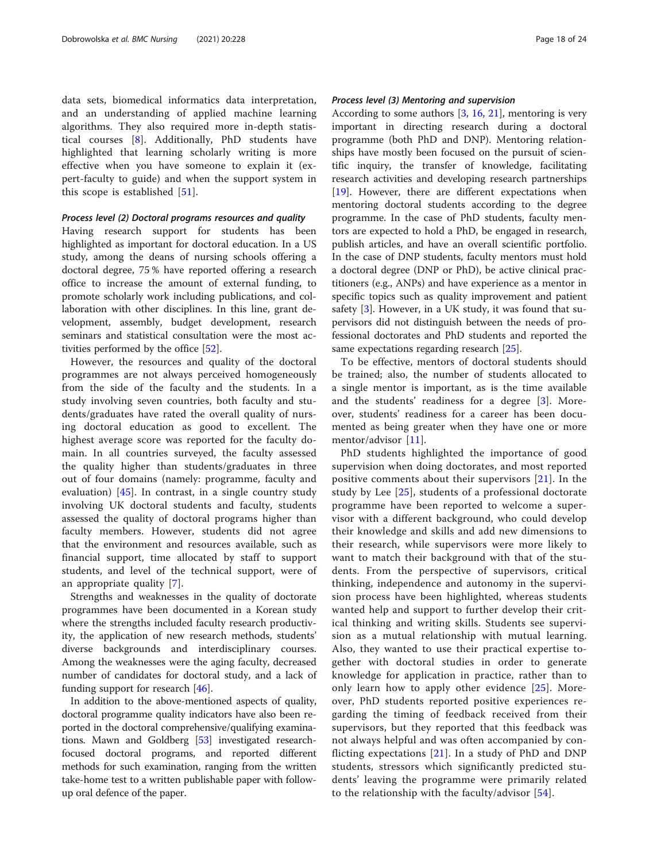data sets, biomedical informatics data interpretation, and an understanding of applied machine learning algorithms. They also required more in-depth statistical courses [[8\]](#page-22-0). Additionally, PhD students have highlighted that learning scholarly writing is more effective when you have someone to explain it (expert-faculty to guide) and when the support system in this scope is established [\[51](#page-23-0)].

#### Process level (2) Doctoral programs resources and quality

Having research support for students has been highlighted as important for doctoral education. In a US study, among the deans of nursing schools offering a doctoral degree, 75 % have reported offering a research office to increase the amount of external funding, to promote scholarly work including publications, and collaboration with other disciplines. In this line, grant development, assembly, budget development, research seminars and statistical consultation were the most activities performed by the office [[52](#page-23-0)].

However, the resources and quality of the doctoral programmes are not always perceived homogeneously from the side of the faculty and the students. In a study involving seven countries, both faculty and students/graduates have rated the overall quality of nursing doctoral education as good to excellent. The highest average score was reported for the faculty domain. In all countries surveyed, the faculty assessed the quality higher than students/graduates in three out of four domains (namely: programme, faculty and evaluation)  $[45]$  $[45]$  $[45]$ . In contrast, in a single country study involving UK doctoral students and faculty, students assessed the quality of doctoral programs higher than faculty members. However, students did not agree that the environment and resources available, such as financial support, time allocated by staff to support students, and level of the technical support, were of an appropriate quality [[7\]](#page-22-0).

Strengths and weaknesses in the quality of doctorate programmes have been documented in a Korean study where the strengths included faculty research productivity, the application of new research methods, students' diverse backgrounds and interdisciplinary courses. Among the weaknesses were the aging faculty, decreased number of candidates for doctoral study, and a lack of funding support for research [\[46](#page-23-0)].

In addition to the above-mentioned aspects of quality, doctoral programme quality indicators have also been reported in the doctoral comprehensive/qualifying examinations. Mawn and Goldberg [\[53\]](#page-23-0) investigated researchfocused doctoral programs, and reported different methods for such examination, ranging from the written take-home test to a written publishable paper with followup oral defence of the paper.

#### Process level (3) Mentoring and supervision

According to some authors [\[3](#page-22-0), [16](#page-22-0), [21](#page-22-0)], mentoring is very important in directing research during a doctoral programme (both PhD and DNP). Mentoring relationships have mostly been focused on the pursuit of scientific inquiry, the transfer of knowledge, facilitating research activities and developing research partnerships [[19\]](#page-22-0). However, there are different expectations when mentoring doctoral students according to the degree programme. In the case of PhD students, faculty mentors are expected to hold a PhD, be engaged in research, publish articles, and have an overall scientific portfolio. In the case of DNP students, faculty mentors must hold a doctoral degree (DNP or PhD), be active clinical practitioners (e.g., ANPs) and have experience as a mentor in specific topics such as quality improvement and patient safety [\[3](#page-22-0)]. However, in a UK study, it was found that supervisors did not distinguish between the needs of professional doctorates and PhD students and reported the same expectations regarding research [\[25\]](#page-22-0).

To be effective, mentors of doctoral students should be trained; also, the number of students allocated to a single mentor is important, as is the time available and the students' readiness for a degree [[3](#page-22-0)]. Moreover, students' readiness for a career has been documented as being greater when they have one or more mentor/advisor [[11\]](#page-22-0).

PhD students highlighted the importance of good supervision when doing doctorates, and most reported positive comments about their supervisors [[21\]](#page-22-0). In the study by Lee [[25\]](#page-22-0), students of a professional doctorate programme have been reported to welcome a supervisor with a different background, who could develop their knowledge and skills and add new dimensions to their research, while supervisors were more likely to want to match their background with that of the students. From the perspective of supervisors, critical thinking, independence and autonomy in the supervision process have been highlighted, whereas students wanted help and support to further develop their critical thinking and writing skills. Students see supervision as a mutual relationship with mutual learning. Also, they wanted to use their practical expertise together with doctoral studies in order to generate knowledge for application in practice, rather than to only learn how to apply other evidence [[25](#page-22-0)]. Moreover, PhD students reported positive experiences regarding the timing of feedback received from their supervisors, but they reported that this feedback was not always helpful and was often accompanied by conflicting expectations [[21](#page-22-0)]. In a study of PhD and DNP students, stressors which significantly predicted students' leaving the programme were primarily related to the relationship with the faculty/advisor [[54](#page-23-0)].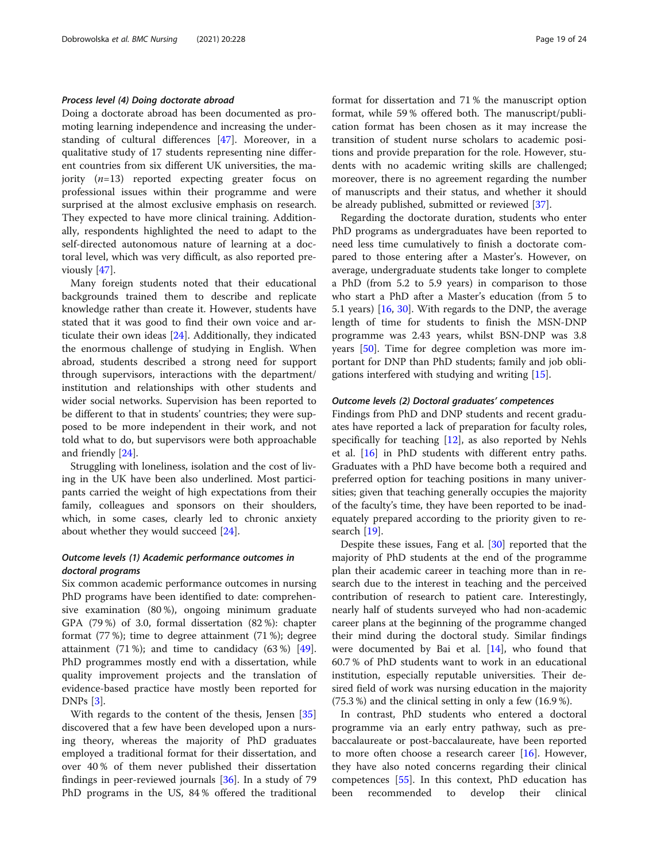#### Process level (4) Doing doctorate abroad

Doing a doctorate abroad has been documented as promoting learning independence and increasing the understanding of cultural differences [\[47](#page-23-0)]. Moreover, in a qualitative study of 17 students representing nine different countries from six different UK universities, the majority  $(n=13)$  reported expecting greater focus on professional issues within their programme and were surprised at the almost exclusive emphasis on research. They expected to have more clinical training. Additionally, respondents highlighted the need to adapt to the self-directed autonomous nature of learning at a doctoral level, which was very difficult, as also reported previously [\[47\]](#page-23-0).

Many foreign students noted that their educational backgrounds trained them to describe and replicate knowledge rather than create it. However, students have stated that it was good to find their own voice and articulate their own ideas [\[24](#page-22-0)]. Additionally, they indicated the enormous challenge of studying in English. When abroad, students described a strong need for support through supervisors, interactions with the department/ institution and relationships with other students and wider social networks. Supervision has been reported to be different to that in students' countries; they were supposed to be more independent in their work, and not told what to do, but supervisors were both approachable and friendly [[24\]](#page-22-0).

Struggling with loneliness, isolation and the cost of living in the UK have been also underlined. Most participants carried the weight of high expectations from their family, colleagues and sponsors on their shoulders, which, in some cases, clearly led to chronic anxiety about whether they would succeed [\[24\]](#page-22-0).

#### Outcome levels (1) Academic performance outcomes in doctoral programs

Six common academic performance outcomes in nursing PhD programs have been identified to date: comprehensive examination (80 %), ongoing minimum graduate GPA (79 %) of 3.0, formal dissertation (82 %): chapter format (77 %); time to degree attainment (71 %); degree attainment (71 %); and time to candidacy (63 %) [\[49](#page-23-0)]. PhD programmes mostly end with a dissertation, while quality improvement projects and the translation of evidence-based practice have mostly been reported for DNPs  $|3|$ .

With regards to the content of the thesis, Jensen [[35](#page-22-0)] discovered that a few have been developed upon a nursing theory, whereas the majority of PhD graduates employed a traditional format for their dissertation, and over 40 % of them never published their dissertation findings in peer-reviewed journals [[36\]](#page-22-0). In a study of 79 PhD programs in the US, 84 % offered the traditional format for dissertation and 71 % the manuscript option format, while 59 % offered both. The manuscript/publication format has been chosen as it may increase the transition of student nurse scholars to academic positions and provide preparation for the role. However, students with no academic writing skills are challenged; moreover, there is no agreement regarding the number of manuscripts and their status, and whether it should be already published, submitted or reviewed [\[37](#page-22-0)].

Regarding the doctorate duration, students who enter PhD programs as undergraduates have been reported to need less time cumulatively to finish a doctorate compared to those entering after a Master's. However, on average, undergraduate students take longer to complete a PhD (from 5.2 to 5.9 years) in comparison to those who start a PhD after a Master's education (from 5 to 5.1 years) [[16,](#page-22-0) [30\]](#page-22-0). With regards to the DNP, the average length of time for students to finish the MSN-DNP programme was 2.43 years, whilst BSN-DNP was 3.8 years [\[50](#page-23-0)]. Time for degree completion was more important for DNP than PhD students; family and job obligations interfered with studying and writing [[15\]](#page-22-0).

#### Outcome levels (2) Doctoral graduates' competences

Findings from PhD and DNP students and recent graduates have reported a lack of preparation for faculty roles, specifically for teaching [[12](#page-22-0)], as also reported by Nehls et al. [\[16](#page-22-0)] in PhD students with different entry paths. Graduates with a PhD have become both a required and preferred option for teaching positions in many universities; given that teaching generally occupies the majority of the faculty's time, they have been reported to be inadequately prepared according to the priority given to research [[19\]](#page-22-0).

Despite these issues, Fang et al. [\[30\]](#page-22-0) reported that the majority of PhD students at the end of the programme plan their academic career in teaching more than in research due to the interest in teaching and the perceived contribution of research to patient care. Interestingly, nearly half of students surveyed who had non-academic career plans at the beginning of the programme changed their mind during the doctoral study. Similar findings were documented by Bai et al. [[14\]](#page-22-0), who found that 60.7 % of PhD students want to work in an educational institution, especially reputable universities. Their desired field of work was nursing education in the majority (75.3 %) and the clinical setting in only a few (16.9 %).

In contrast, PhD students who entered a doctoral programme via an early entry pathway, such as prebaccalaureate or post-baccalaureate, have been reported to more often choose a research career  $[16]$  $[16]$ . However, they have also noted concerns regarding their clinical competences [[55\]](#page-23-0). In this context, PhD education has been recommended to develop their clinical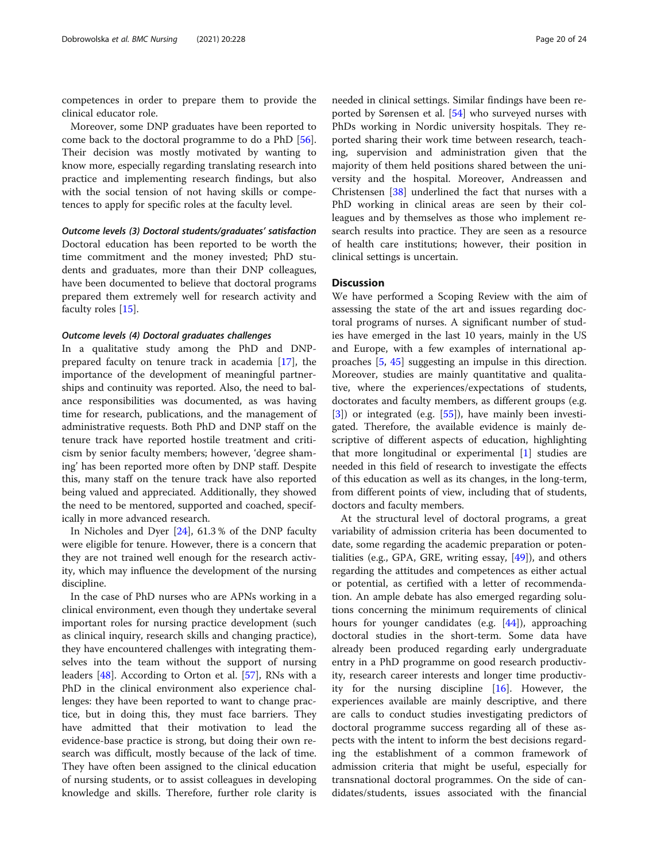competences in order to prepare them to provide the clinical educator role.

Moreover, some DNP graduates have been reported to come back to the doctoral programme to do a PhD [\[56](#page-23-0)]. Their decision was mostly motivated by wanting to know more, especially regarding translating research into practice and implementing research findings, but also with the social tension of not having skills or competences to apply for specific roles at the faculty level.

Outcome levels (3) Doctoral students/graduates' satisfaction Doctoral education has been reported to be worth the time commitment and the money invested; PhD students and graduates, more than their DNP colleagues, have been documented to believe that doctoral programs prepared them extremely well for research activity and faculty roles [\[15](#page-22-0)].

#### Outcome levels (4) Doctoral graduates challenges

In a qualitative study among the PhD and DNPprepared faculty on tenure track in academia [[17\]](#page-22-0), the importance of the development of meaningful partnerships and continuity was reported. Also, the need to balance responsibilities was documented, as was having time for research, publications, and the management of administrative requests. Both PhD and DNP staff on the tenure track have reported hostile treatment and criticism by senior faculty members; however, 'degree shaming' has been reported more often by DNP staff. Despite this, many staff on the tenure track have also reported being valued and appreciated. Additionally, they showed the need to be mentored, supported and coached, specifically in more advanced research.

In Nicholes and Dyer [\[24](#page-22-0)], 61.3 % of the DNP faculty were eligible for tenure. However, there is a concern that they are not trained well enough for the research activity, which may influence the development of the nursing discipline.

In the case of PhD nurses who are APNs working in a clinical environment, even though they undertake several important roles for nursing practice development (such as clinical inquiry, research skills and changing practice), they have encountered challenges with integrating themselves into the team without the support of nursing leaders [[48\]](#page-23-0). According to Orton et al. [[57\]](#page-23-0), RNs with a PhD in the clinical environment also experience challenges: they have been reported to want to change practice, but in doing this, they must face barriers. They have admitted that their motivation to lead the evidence-base practice is strong, but doing their own research was difficult, mostly because of the lack of time. They have often been assigned to the clinical education of nursing students, or to assist colleagues in developing knowledge and skills. Therefore, further role clarity is

needed in clinical settings. Similar findings have been reported by Sørensen et al. [[54\]](#page-23-0) who surveyed nurses with PhDs working in Nordic university hospitals. They reported sharing their work time between research, teaching, supervision and administration given that the majority of them held positions shared between the university and the hospital. Moreover, Andreassen and Christensen [[38](#page-23-0)] underlined the fact that nurses with a PhD working in clinical areas are seen by their colleagues and by themselves as those who implement research results into practice. They are seen as a resource of health care institutions; however, their position in clinical settings is uncertain.

#### **Discussion**

We have performed a Scoping Review with the aim of assessing the state of the art and issues regarding doctoral programs of nurses. A significant number of studies have emerged in the last 10 years, mainly in the US and Europe, with a few examples of international approaches [[5,](#page-22-0) [45](#page-23-0)] suggesting an impulse in this direction. Moreover, studies are mainly quantitative and qualitative, where the experiences/expectations of students, doctorates and faculty members, as different groups (e.g. [[3\]](#page-22-0)) or integrated (e.g. [[55\]](#page-23-0)), have mainly been investigated. Therefore, the available evidence is mainly descriptive of different aspects of education, highlighting that more longitudinal or experimental [\[1](#page-22-0)] studies are needed in this field of research to investigate the effects of this education as well as its changes, in the long-term, from different points of view, including that of students, doctors and faculty members.

At the structural level of doctoral programs, a great variability of admission criteria has been documented to date, some regarding the academic preparation or potentialities (e.g., GPA, GRE, writing essay, [\[49](#page-23-0)]), and others regarding the attitudes and competences as either actual or potential, as certified with a letter of recommendation. An ample debate has also emerged regarding solutions concerning the minimum requirements of clinical hours for younger candidates (e.g. [\[44\]](#page-23-0)), approaching doctoral studies in the short-term. Some data have already been produced regarding early undergraduate entry in a PhD programme on good research productivity, research career interests and longer time productivity for the nursing discipline [[16\]](#page-22-0). However, the experiences available are mainly descriptive, and there are calls to conduct studies investigating predictors of doctoral programme success regarding all of these aspects with the intent to inform the best decisions regarding the establishment of a common framework of admission criteria that might be useful, especially for transnational doctoral programmes. On the side of candidates/students, issues associated with the financial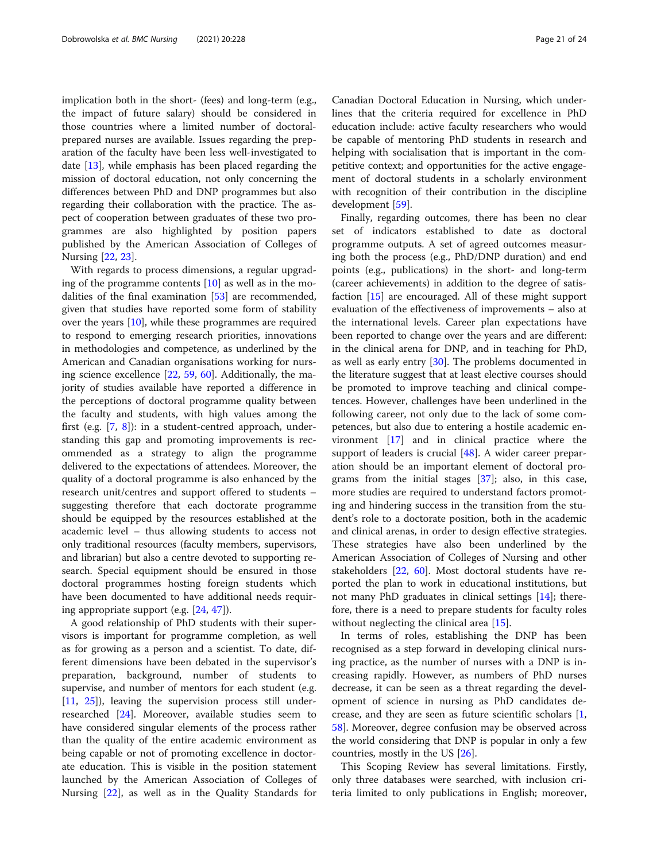implication both in the short- (fees) and long-term (e.g., the impact of future salary) should be considered in those countries where a limited number of doctoralprepared nurses are available. Issues regarding the preparation of the faculty have been less well-investigated to date [[13](#page-22-0)], while emphasis has been placed regarding the mission of doctoral education, not only concerning the differences between PhD and DNP programmes but also regarding their collaboration with the practice. The aspect of cooperation between graduates of these two programmes are also highlighted by position papers published by the American Association of Colleges of Nursing [[22,](#page-22-0) [23](#page-22-0)].

With regards to process dimensions, a regular upgrading of the programme contents  $[10]$  as well as in the modalities of the final examination [[53\]](#page-23-0) are recommended, given that studies have reported some form of stability over the years [[10\]](#page-22-0), while these programmes are required to respond to emerging research priorities, innovations in methodologies and competence, as underlined by the American and Canadian organisations working for nursing science excellence [[22](#page-22-0), [59,](#page-23-0) [60\]](#page-23-0). Additionally, the majority of studies available have reported a difference in the perceptions of doctoral programme quality between the faculty and students, with high values among the first (e.g. [[7,](#page-22-0) [8\]](#page-22-0)): in a student-centred approach, understanding this gap and promoting improvements is recommended as a strategy to align the programme delivered to the expectations of attendees. Moreover, the quality of a doctoral programme is also enhanced by the research unit/centres and support offered to students – suggesting therefore that each doctorate programme should be equipped by the resources established at the academic level – thus allowing students to access not only traditional resources (faculty members, supervisors, and librarian) but also a centre devoted to supporting research. Special equipment should be ensured in those doctoral programmes hosting foreign students which have been documented to have additional needs requiring appropriate support (e.g. [\[24](#page-22-0), [47](#page-23-0)]).

A good relationship of PhD students with their supervisors is important for programme completion, as well as for growing as a person and a scientist. To date, different dimensions have been debated in the supervisor's preparation, background, number of students to supervise, and number of mentors for each student (e.g. [[11,](#page-22-0) [25](#page-22-0)]), leaving the supervision process still underresearched [[24\]](#page-22-0). Moreover, available studies seem to have considered singular elements of the process rather than the quality of the entire academic environment as being capable or not of promoting excellence in doctorate education. This is visible in the position statement launched by the American Association of Colleges of Nursing [\[22\]](#page-22-0), as well as in the Quality Standards for

Canadian Doctoral Education in Nursing, which underlines that the criteria required for excellence in PhD education include: active faculty researchers who would be capable of mentoring PhD students in research and helping with socialisation that is important in the competitive context; and opportunities for the active engagement of doctoral students in a scholarly environment with recognition of their contribution in the discipline development [\[59](#page-23-0)].

Finally, regarding outcomes, there has been no clear set of indicators established to date as doctoral programme outputs. A set of agreed outcomes measuring both the process (e.g., PhD/DNP duration) and end points (e.g., publications) in the short- and long-term (career achievements) in addition to the degree of satisfaction [[15\]](#page-22-0) are encouraged. All of these might support evaluation of the effectiveness of improvements – also at the international levels. Career plan expectations have been reported to change over the years and are different: in the clinical arena for DNP, and in teaching for PhD, as well as early entry [\[30](#page-22-0)]. The problems documented in the literature suggest that at least elective courses should be promoted to improve teaching and clinical competences. However, challenges have been underlined in the following career, not only due to the lack of some competences, but also due to entering a hostile academic environment [[17\]](#page-22-0) and in clinical practice where the support of leaders is crucial  $[48]$  $[48]$ . A wider career preparation should be an important element of doctoral programs from the initial stages [[37\]](#page-22-0); also, in this case, more studies are required to understand factors promoting and hindering success in the transition from the student's role to a doctorate position, both in the academic and clinical arenas, in order to design effective strategies. These strategies have also been underlined by the American Association of Colleges of Nursing and other stakeholders [\[22](#page-22-0), [60\]](#page-23-0). Most doctoral students have reported the plan to work in educational institutions, but not many PhD graduates in clinical settings [\[14\]](#page-22-0); therefore, there is a need to prepare students for faculty roles without neglecting the clinical area [\[15](#page-22-0)].

In terms of roles, establishing the DNP has been recognised as a step forward in developing clinical nursing practice, as the number of nurses with a DNP is increasing rapidly. However, as numbers of PhD nurses decrease, it can be seen as a threat regarding the development of science in nursing as PhD candidates decrease, and they are seen as future scientific scholars [\[1](#page-22-0), [58\]](#page-23-0). Moreover, degree confusion may be observed across the world considering that DNP is popular in only a few countries, mostly in the US [[26\]](#page-22-0).

This Scoping Review has several limitations. Firstly, only three databases were searched, with inclusion criteria limited to only publications in English; moreover,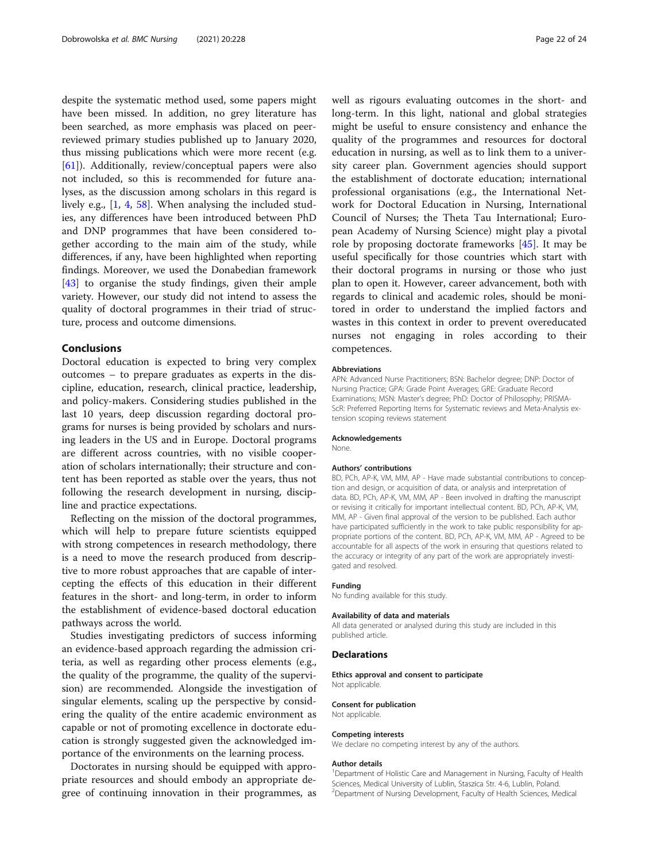despite the systematic method used, some papers might have been missed. In addition, no grey literature has been searched, as more emphasis was placed on peerreviewed primary studies published up to January 2020, thus missing publications which were more recent (e.g. [[61\]](#page-23-0)). Additionally, review/conceptual papers were also not included, so this is recommended for future analyses, as the discussion among scholars in this regard is lively e.g., [[1,](#page-22-0) [4](#page-22-0), [58](#page-23-0)]. When analysing the included studies, any differences have been introduced between PhD and DNP programmes that have been considered together according to the main aim of the study, while differences, if any, have been highlighted when reporting findings. Moreover, we used the Donabedian framework [[43\]](#page-23-0) to organise the study findings, given their ample variety. However, our study did not intend to assess the quality of doctoral programmes in their triad of structure, process and outcome dimensions.

#### Conclusions

Doctoral education is expected to bring very complex outcomes – to prepare graduates as experts in the discipline, education, research, clinical practice, leadership, and policy-makers. Considering studies published in the last 10 years, deep discussion regarding doctoral programs for nurses is being provided by scholars and nursing leaders in the US and in Europe. Doctoral programs are different across countries, with no visible cooperation of scholars internationally; their structure and content has been reported as stable over the years, thus not following the research development in nursing, discipline and practice expectations.

Reflecting on the mission of the doctoral programmes, which will help to prepare future scientists equipped with strong competences in research methodology, there is a need to move the research produced from descriptive to more robust approaches that are capable of intercepting the effects of this education in their different features in the short- and long-term, in order to inform the establishment of evidence-based doctoral education pathways across the world.

Studies investigating predictors of success informing an evidence-based approach regarding the admission criteria, as well as regarding other process elements (e.g., the quality of the programme, the quality of the supervision) are recommended. Alongside the investigation of singular elements, scaling up the perspective by considering the quality of the entire academic environment as capable or not of promoting excellence in doctorate education is strongly suggested given the acknowledged importance of the environments on the learning process.

Doctorates in nursing should be equipped with appropriate resources and should embody an appropriate degree of continuing innovation in their programmes, as

well as rigours evaluating outcomes in the short- and long-term. In this light, national and global strategies might be useful to ensure consistency and enhance the quality of the programmes and resources for doctoral education in nursing, as well as to link them to a university career plan. Government agencies should support the establishment of doctorate education; international professional organisations (e.g., the International Network for Doctoral Education in Nursing, International Council of Nurses; the Theta Tau International; European Academy of Nursing Science) might play a pivotal role by proposing doctorate frameworks [\[45](#page-23-0)]. It may be useful specifically for those countries which start with their doctoral programs in nursing or those who just plan to open it. However, career advancement, both with regards to clinical and academic roles, should be monitored in order to understand the implied factors and wastes in this context in order to prevent overeducated nurses not engaging in roles according to their competences.

#### Abbreviations

APN: Advanced Nurse Practitioners; BSN: Bachelor degree; DNP: Doctor of Nursing Practice; GPA: Grade Point Averages; GRE: Graduate Record Examinations; MSN: Master's degree; PhD: Doctor of Philosophy; PRISMA-ScR: Preferred Reporting Items for Systematic reviews and Meta-Analysis extension scoping reviews statement

#### Acknowledgements

None.

#### Authors' contributions

BD, PCh, AP-K, VM, MM, AP - Have made substantial contributions to conception and design, or acquisition of data, or analysis and interpretation of data. BD, PCh, AP-K, VM, MM, AP - Been involved in drafting the manuscript or revising it critically for important intellectual content. BD, PCh, AP-K, VM, MM, AP - Given final approval of the version to be published. Each author have participated sufficiently in the work to take public responsibility for appropriate portions of the content. BD, PCh, AP-K, VM, MM, AP - Agreed to be accountable for all aspects of the work in ensuring that questions related to the accuracy or integrity of any part of the work are appropriately investigated and resolved.

#### Funding

No funding available for this study.

#### Availability of data and materials

All data generated or analysed during this study are included in this published article.

#### Declarations

Ethics approval and consent to participate Not applicable.

#### Consent for publication

Not applicable.

#### Competing interests

We declare no competing interest by any of the authors.

#### Author details

<sup>1</sup>Department of Holistic Care and Management in Nursing, Faculty of Health Sciences, Medical University of Lublin, Staszica Str. 4-6, Lublin, Poland. <sup>2</sup>Department of Nursing Development, Faculty of Health Sciences, Medical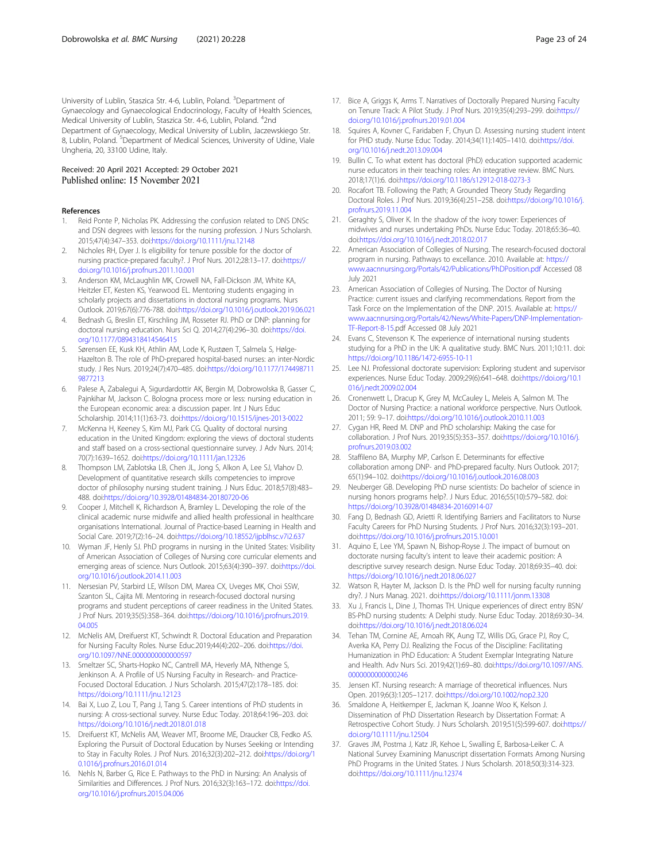<span id="page-22-0"></span>University of Lublin, Staszica Str. 4-6, Lublin, Poland. <sup>3</sup>Department of Gynaecology and Gynaecological Endocrinology, Faculty of Health Sciences, Medical University of Lublin, Staszica Str. 4-6, Lublin, Poland. <sup>4</sup>2nd Department of Gynaecology, Medical University of Lublin, Jaczewskiego Str. 8, Lublin, Poland. <sup>5</sup>Department of Medical Sciences, University of Udine, Viale Ungheria, 20, 33100 Udine, Italy.

#### Received: 20 April 2021 Accepted: 29 October 2021 Published online: 15 November 2021

#### References

- 1. Reid Ponte P, Nicholas PK. Addressing the confusion related to DNS DNSc and DSN degrees with lessons for the nursing profession. J Nurs Scholarsh. 2015;47(4):347–353. doi[:https://doi.org/10.1111/jnu.12148](https://doi.org/10.1111/jnu.12148)
- 2. Nicholes RH, Dyer J. Is eligibility for tenure possible for the doctor of nursing practice-prepared faculty?. J Prof Nurs. 2012;28:13–17. doi[:https://](https://doi.org/10.1016/j.profnurs.2011.10.001) [doi.org/10.1016/j.profnurs.2011.10.001](https://doi.org/10.1016/j.profnurs.2011.10.001)
- 3. Anderson KM, McLaughlin MK, Crowell NA, Fall-Dickson JM, White KA, Heitzler ET, Kesten KS, Yearwood EL. Mentoring students engaging in scholarly projects and dissertations in doctoral nursing programs. Nurs Outlook. 2019;67(6):776-788. doi:<https://doi.org/10.1016/j.outlook.2019.06.021>
- 4. Bednash G, Breslin ET, Kirschling JM, Rosseter RJ. PhD or DNP: planning for doctoral nursing education. Nurs Sci Q. 2014;27(4):296–30. doi:[https://doi.](https://doi.org/10.1177/0894318414546415) [org/10.1177/0894318414546415](https://doi.org/10.1177/0894318414546415)
- 5. Sørensen EE, Kusk KH, Athlin AM, Lode K, Rustøen T, Salmela S, Hølge-Hazelton B. The role of PhD-prepared hospital-based nurses: an inter-Nordic study. J Res Nurs. 2019;24(7):470–485. doi:[https://doi.org/10.1177/174498711](https://doi.org/10.1177/1744987119877213) [9877213](https://doi.org/10.1177/1744987119877213)
- 6. Palese A, Zabalegui A, Sigurdardottir AK, Bergin M, Dobrowolska B, Gasser C, Pajnkihar M, Jackson C. Bologna process more or less: nursing education in the European economic area: a discussion paper. Int J Nurs Educ Scholarship. 2014;11(1):63-73. doi:<https://doi.org/10.1515/ijnes-2013-0022>
- 7. McKenna H, Keeney S, Kim MJ, Park CG. Quality of doctoral nursing education in the United Kingdom: exploring the views of doctoral students and staff based on a cross-sectional questionnaire survey. J Adv Nurs. 2014; 70(7):1639–1652. doi[:https://doi.org/10.1111/jan.12326](https://doi.org/10.1111/jan.12326)
- Thompson LM, Zablotska LB, Chen JL, Jong S, Alkon A, Lee SJ, Vlahov D. Development of quantitative research skills competencies to improve doctor of philosophy nursing student training. J Nurs Educ. 2018;57(8):483– 488. doi:<https://doi.org/10.3928/01484834-20180720-06>
- 9. Cooper J, Mitchell K, Richardson A, Bramley L. Developing the role of the clinical academic nurse midwife and allied health professional in healthcare organisations International. Journal of Practice-based Learning in Health and Social Care. 2019;7(2):16–24. doi:<https://doi.org/10.18552/ijpblhsc.v7i2.637>
- 10. Wyman JF, Henly SJ. PhD programs in nursing in the United States: Visibility of American Association of Colleges of Nursing core curricular elements and emerging areas of science. Nurs Outlook. 2015;63(4):390–397. doi:[https://doi.](https://doi.org/10.1016/j.outlook.2014.11.003) [org/10.1016/j.outlook.2014.11.003](https://doi.org/10.1016/j.outlook.2014.11.003)
- 11. Nersesian PV, Starbird LE, Wilson DM, Marea CX, Uveges MK, Choi SSW, Szanton SL, Cajita MI. Mentoring in research-focused doctoral nursing programs and student perceptions of career readiness in the United States. J Prof Nurs. 2019;35(5):358–364. doi:[https://doi.org/10.1016/j.profnurs.2019.](https://doi.org/10.1016/j.profnurs.2019.04.005) [04.005](https://doi.org/10.1016/j.profnurs.2019.04.005)
- 12. McNelis AM, Dreifuerst KT, Schwindt R. Doctoral Education and Preparation for Nursing Faculty Roles. Nurse Educ.2019;44(4):202–206. doi[:https://doi.](https://doi.org/10.1097/NNE.0000000000000597) [org/10.1097/NNE.0000000000000597](https://doi.org/10.1097/NNE.0000000000000597)
- 13. Smeltzer SC, Sharts-Hopko NC, Cantrell MA, Heverly MA, Nthenge S, Jenkinson A. A Profile of US Nursing Faculty in Research- and Practice-Focused Doctoral Education. J Nurs Scholarsh. 2015;47(2):178–185. doi: <https://doi.org/10.1111/jnu.12123>
- 14. Bai X, Luo Z, Lou T, Pang J, Tang S. Career intentions of PhD students in nursing: A cross-sectional survey. Nurse Educ Today. 2018;64:196–203. doi: <https://doi.org/10.1016/j.nedt.2018.01.018>
- 15. Dreifuerst KT, McNelis AM, Weaver MT, Broome ME, Draucker CB, Fedko AS. Exploring the Pursuit of Doctoral Education by Nurses Seeking or Intending to Stay in Faculty Roles. J Prof Nurs. 2016;32(3):202–212. doi[:https://doi.org/1](https://doi.org/10.1016/j.profnurs.2016.01.014) [0.1016/j.profnurs.2016.01.014](https://doi.org/10.1016/j.profnurs.2016.01.014)
- 16. Nehls N, Barber G, Rice E. Pathways to the PhD in Nursing: An Analysis of Similarities and Differences. J Prof Nurs. 2016;32(3):163–172. doi:[https://doi.](https://doi.org/10.1016/j.profnurs.2015.04.006) [org/10.1016/j.profnurs.2015.04.006](https://doi.org/10.1016/j.profnurs.2015.04.006)
- 17. Bice A, Griggs K, Arms T. Narratives of Doctorally Prepared Nursing Faculty on Tenure Track: A Pilot Study. J Prof Nurs. 2019;35(4):293–299. doi[:https://](https://doi.org/10.1016/j.profnurs.2019.01.004) [doi.org/10.1016/j.profnurs.2019.01.004](https://doi.org/10.1016/j.profnurs.2019.01.004)
- 18. Squires A, Kovner C, Faridaben F, Chyun D. Assessing nursing student intent for PHD study. Nurse Educ Today. 2014;34(11):1405–1410. doi[:https://doi.](https://doi.org/10.1016/j.nedt.2013.09.004) [org/10.1016/j.nedt.2013.09.004](https://doi.org/10.1016/j.nedt.2013.09.004)
- 19. Bullin C. To what extent has doctoral (PhD) education supported academic nurse educators in their teaching roles: An integrative review. BMC Nurs. 2018;17(1):6. doi:<https://doi.org/10.1186/s12912-018-0273-3>
- 20. Rocafort TB, Following the Path: A Grounded Theory Study Regarding Doctoral Roles. J Prof Nurs. 2019;36(4):251–258. doi[:https://doi.org/10.1016/j.](https://doi.org/10.1016/j.profnurs.2019.11.004) [profnurs.2019.11.004](https://doi.org/10.1016/j.profnurs.2019.11.004)
- 21. Geraghty S, Oliver K. In the shadow of the ivory tower: Experiences of midwives and nurses undertaking PhDs. Nurse Educ Today. 2018;65:36–40. doi[:https://doi.org/10.1016/j.nedt.2018.02.017](https://doi.org/10.1016/j.nedt.2018.02.017)
- 22. American Association of Collegies of Nursing. The research-focused doctoral program in nursing. Pathways to excellance. 2010. Available at: [https://](https://www.aacnnursing.org/Portals/42/Publications/PhDPosition.pdf) [www.aacnnursing.org/Portals/42/Publications/PhDPosition.pdf](https://www.aacnnursing.org/Portals/42/Publications/PhDPosition.pdf) Accessed 08 July 2021
- 23. American Association of Collegies of Nursing. The Doctor of Nursing Practice: current issues and clarifying recommendations. Report from the Task Force on the Implementation of the DNP. 2015. Available at: [https://](https://www.aacnnursing.org/Portals/42/News/White-Papers/DNP-Implementation-TF-Report-8-15) [www.aacnnursing.org/Portals/42/News/White-Papers/DNP-Implementation-](https://www.aacnnursing.org/Portals/42/News/White-Papers/DNP-Implementation-TF-Report-8-15)[TF-Report-8-15.](https://www.aacnnursing.org/Portals/42/News/White-Papers/DNP-Implementation-TF-Report-8-15)pdf Accessed 08 July 2021
- 24. Evans C, Stevenson K. The experience of international nursing students studying for a PhD in the UK: A qualitative study. BMC Nurs. 2011;10:11. doi: <https://doi.org/10.1186/1472-6955-10-11>
- 25. Lee NJ. Professional doctorate supervision: Exploring student and supervisor experiences. Nurse Educ Today. 2009;29(6):641–648. doi[:https://doi.org/10.1](https://doi.org/10.1016/j.nedt.2009.02.004) [016/j.nedt.2009.02.004](https://doi.org/10.1016/j.nedt.2009.02.004)
- 26. Cronenwett L, Dracup K, Grey M, McCauley L, Meleis A, Salmon M. The Doctor of Nursing Practice: a national workforce perspective. Nurs Outlook. 2011; 59: 9–17. doi[:https://doi.org/10.1016/j.outlook.2010.11.003](https://doi.org/10.1016/j.outlook.2010.11.003)
- 27. Cygan HR, Reed M. DNP and PhD scholarship: Making the case for collaboration. J Prof Nurs. 2019;35(5):353–357. doi[:https://doi.org/10.1016/j.](https://doi.org/10.1016/j.profnurs.2019.03.002) [profnurs.2019.03.002](https://doi.org/10.1016/j.profnurs.2019.03.002)
- 28. Staffileno BA, Murphy MP, Carlson E. Determinants for effective collaboration among DNP- and PhD-prepared faculty. Nurs Outlook. 2017; 65(1):94–102. doi[:https://doi.org/10.1016/j.outlook.2016.08.003](https://doi.org/10.1016/j.outlook.2016.08.003)
- 29. Neuberger GB. Developing PhD nurse scientists: Do bachelor of science in nursing honors programs help?. J Nurs Educ. 2016;55(10):579–582. doi: <https://doi.org/10.3928/01484834-20160914-07>
- 30. Fang D, Bednash GD, Arietti R. Identifying Barriers and Facilitators to Nurse Faculty Careers for PhD Nursing Students. J Prof Nurs. 2016;32(3):193–201. doi[:https://doi.org/10.1016/j.profnurs.2015.10.001](https://doi.org/10.1016/j.profnurs.2015.10.001)
- 31. Aquino E, Lee YM, Spawn N, Bishop-Royse J. The impact of burnout on doctorate nursing faculty's intent to leave their academic position: A descriptive survey research design. Nurse Educ Today. 2018;69:35–40. doi: <https://doi.org/10.1016/j.nedt.2018.06.027>
- 32. Watson R, Hayter M, Jackson D. Is the PhD well for nursing faculty running dry?. J Nurs Manag. 2021. doi:<https://doi.org/10.1111/jonm.13308>
- 33. Xu J, Francis L, Dine J, Thomas TH. Unique experiences of direct entry BSN/ BS-PhD nursing students: A Delphi study. Nurse Educ Today. 2018;69:30–34. doi[:https://doi.org/10.1016/j.nedt.2018.06.024](https://doi.org/10.1016/j.nedt.2018.06.024)
- 34. Tehan TM, Cornine AE, Amoah RK, Aung TZ, Willis DG, Grace PJ, Roy C, Averka KA, Perry DJ. Realizing the Focus of the Discipline: Facilitating Humanization in PhD Education: A Student Exemplar Integrating Nature and Health. Adv Nurs Sci. 2019;42(1):69–80. doi:[https://doi.org/10.1097/ANS.](https://doi.org/10.1097/ANS.0000000000000246) [0000000000000246](https://doi.org/10.1097/ANS.0000000000000246)
- 35. Jensen KT. Nursing research: A marriage of theoretical influences. Nurs Open. 2019;6(3):1205–1217. doi:<https://doi.org/10.1002/nop2.320>
- 36. Smaldone A, Heitkemper E, Jackman K, Joanne Woo K, Kelson J. Dissemination of PhD Dissertation Research by Dissertation Format: A Retrospective Cohort Study. J Nurs Scholarsh. 2019;51(5):599-607. doi[:https://](https://doi.org/10.1111/jnu.12504) [doi.org/10.1111/jnu.12504](https://doi.org/10.1111/jnu.12504)
- 37. Graves JM, Postma J, Katz JR, Kehoe L, Swalling E, Barbosa-Leiker C. A National Survey Examining Manuscript dissertation Formats Among Nursing PhD Programs in the United States. J Nurs Scholarsh. 2018;50(3):314-323. doi[:https://doi.org/10.1111/jnu.12374](https://doi.org/10.1111/jnu.12374)